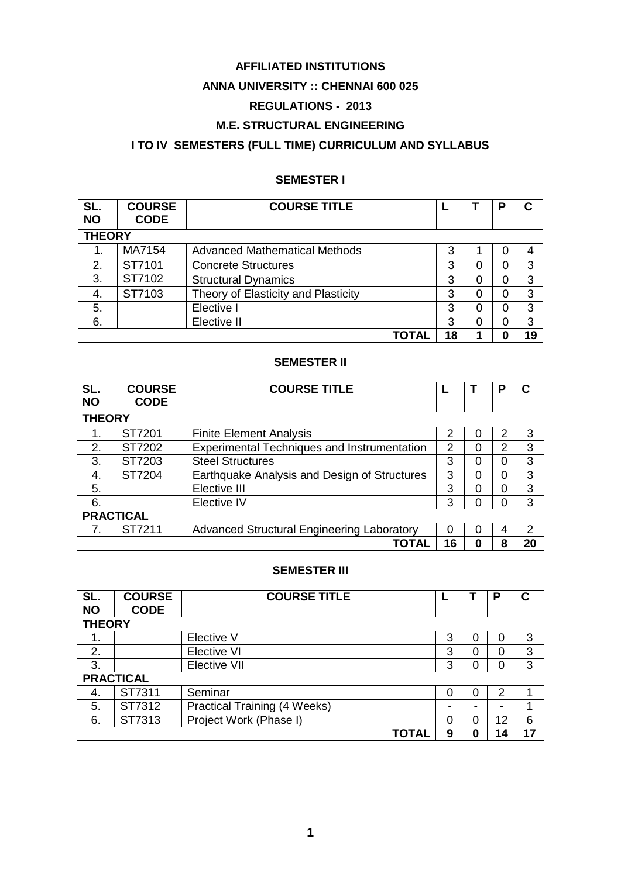# **AFFILIATED INSTITUTIONS**

# **ANNA UNIVERSITY :: CHENNAI 600 025**

# **REGULATIONS - 2013**

# **M.E. STRUCTURAL ENGINEERING**

# **I TO IV SEMESTERS (FULL TIME) CURRICULUM AND SYLLABUS**

# **SEMESTER I**

| SL.<br><b>NO</b> | <b>COURSE</b><br><b>CODE</b> | <b>COURSE TITLE</b>                 |       |    |   | Р | С  |
|------------------|------------------------------|-------------------------------------|-------|----|---|---|----|
| <b>THEORY</b>    |                              |                                     |       |    |   |   |    |
|                  | MA7154                       | Advanced Mathematical Methods       |       | 3  |   | 0 | 4  |
| 2.               | ST7101                       | <b>Concrete Structures</b>          |       | 3  | 0 | 0 | 3  |
| 3.               | ST7102                       | <b>Structural Dynamics</b>          |       | 3  | 0 | 0 | 3  |
| 4.               | ST7103                       | Theory of Elasticity and Plasticity |       | 3  | 0 | 0 | 3  |
| 5.               |                              | Elective I                          |       | 3  | 0 | 0 | 3  |
| 6.               |                              | Elective II                         |       | 3  | 0 | 0 | 3  |
|                  |                              |                                     | ΤΟΤΑΙ | 18 | 1 | 0 | 19 |

# **SEMESTER II**

| SL.       | <b>COURSE</b>    | <b>COURSE TITLE</b>                                |                |   | D              | C  |  |
|-----------|------------------|----------------------------------------------------|----------------|---|----------------|----|--|
| <b>NO</b> | <b>CODE</b>      |                                                    |                |   |                |    |  |
|           | <b>THEORY</b>    |                                                    |                |   |                |    |  |
| 1.        | ST7201           | <b>Finite Element Analysis</b>                     | 2              | 0 | 2              | 3  |  |
| 2.        | ST7202           | <b>Experimental Techniques and Instrumentation</b> | $\overline{2}$ | 0 | $\overline{2}$ | 3  |  |
| 3.        | ST7203           | <b>Steel Structures</b>                            | 3              | 0 | 0              | 3  |  |
| 4.        | ST7204           | Earthquake Analysis and Design of Structures       | 3              | 0 | 0              | 3  |  |
| 5.        |                  | Elective III                                       | 3              | 0 | 0              | 3  |  |
| 6.        |                  | Elective IV                                        | 3              | ი | 0              | 3  |  |
|           | <b>PRACTICAL</b> |                                                    |                |   |                |    |  |
|           | ST7211           | <b>Advanced Structural Engineering Laboratory</b>  | 0              | ი | 4              | 2  |  |
|           |                  | TOTAL                                              | 16             | 0 | 8              | 20 |  |

# **SEMESTER III**

| SL.           | <b>COURSE</b>    | <b>COURSE TITLE</b>                 |   |   |    | С  |
|---------------|------------------|-------------------------------------|---|---|----|----|
| <b>NO</b>     | <b>CODE</b>      |                                     |   |   |    |    |
| <b>THEORY</b> |                  |                                     |   |   |    |    |
| 1.            |                  | Elective V                          | 3 | 0 |    | 3  |
| 2.            |                  | <b>Elective VI</b>                  | 3 | 0 | 0  | 3  |
| 3.            |                  | Elective VII                        | 3 | 0 | 0  | 3  |
|               | <b>PRACTICAL</b> |                                     |   |   |    |    |
| 4.            | ST7311           | Seminar                             |   | 0 | 2  |    |
| 5.            | ST7312           | <b>Practical Training (4 Weeks)</b> |   | - | -  |    |
| 6.            | ST7313           | Project Work (Phase I)              | 0 | 0 | 12 | 6  |
|               |                  | TOTAI                               | 9 | 0 | 14 | 17 |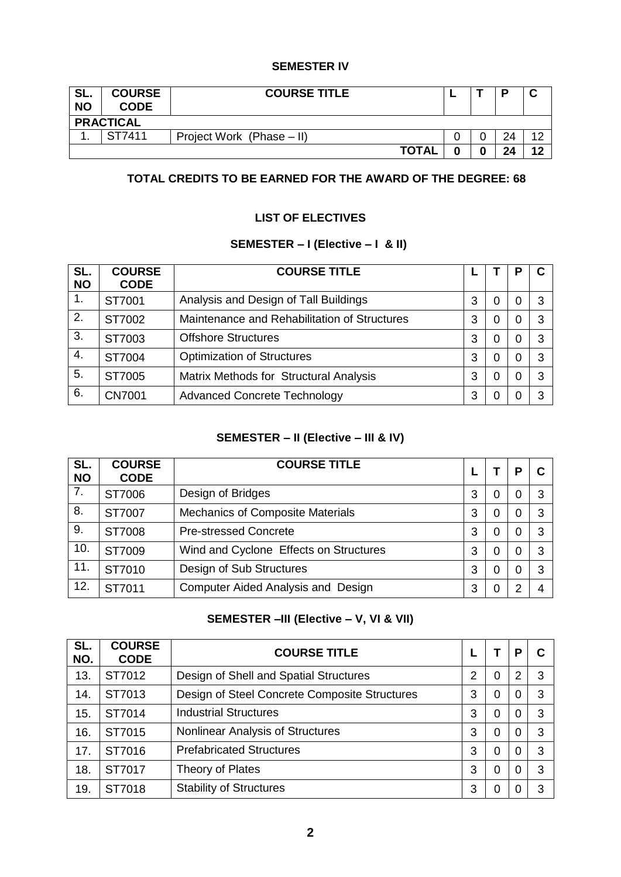# **SEMESTER IV**

| SL.<br><b>NO</b> | <b>COURSE</b><br><b>CODE</b> | <b>COURSE TITLE</b>       |  |   |    | ື  |  |  |
|------------------|------------------------------|---------------------------|--|---|----|----|--|--|
|                  | <b>PRACTICAL</b>             |                           |  |   |    |    |  |  |
|                  | ST7411                       | Project Work (Phase - II) |  |   | 24 | ィつ |  |  |
|                  |                              | <b>TOTAL</b>              |  | 0 | 24 | 12 |  |  |

# **TOTAL CREDITS TO BE EARNED FOR THE AWARD OF THE DEGREE: 68**

# **LIST OF ELECTIVES**

# **SEMESTER – I (Elective – I & II)**

| SL.<br><b>NO</b> | <b>COURSE</b><br><b>CODE</b> | <b>COURSE TITLE</b>                          |   |   |   |  |
|------------------|------------------------------|----------------------------------------------|---|---|---|--|
| 1.               | ST7001                       | Analysis and Design of Tall Buildings        | 3 | 0 | 0 |  |
| 2.               | ST7002                       | Maintenance and Rehabilitation of Structures | 3 | 0 | O |  |
| 3.               | ST7003                       | <b>Offshore Structures</b>                   | 3 | 0 | 0 |  |
| 4.               | ST7004                       | <b>Optimization of Structures</b>            | 3 | 0 |   |  |
| 5.               | ST7005                       | Matrix Methods for Structural Analysis       | 3 | 0 | 0 |  |
| 6.               | <b>CN7001</b>                | <b>Advanced Concrete Technology</b>          | 3 | 0 |   |  |

# **SEMESTER – II (Elective – III & IV)**

| SL.<br><b>NO</b> | <b>COURSE</b><br><b>CODE</b> | <b>COURSE TITLE</b>                       |   |   | o |  |
|------------------|------------------------------|-------------------------------------------|---|---|---|--|
| 7.               | ST7006                       | Design of Bridges                         | 3 | 0 | 0 |  |
| 8.               | ST7007                       | <b>Mechanics of Composite Materials</b>   | 3 | 0 | 0 |  |
| 9.               | ST7008                       | <b>Pre-stressed Concrete</b>              | 3 | 0 | 0 |  |
| 10.              | ST7009                       | Wind and Cyclone Effects on Structures    | 3 | 0 | 0 |  |
| 11.              | ST7010                       | Design of Sub Structures                  | 3 | 0 | 0 |  |
| 12.              | ST7011                       | <b>Computer Aided Analysis and Design</b> | 3 | 0 | າ |  |

# **SEMESTER –III (Elective – V, VI & VII)**

| SL.<br>NO. | <b>COURSE</b><br><b>CODE</b> | <b>COURSE TITLE</b>                           |   |   | p |   |
|------------|------------------------------|-----------------------------------------------|---|---|---|---|
| 13.        | ST7012                       | Design of Shell and Spatial Structures        | 2 | 0 | 2 | 3 |
| 14.        | ST7013                       | Design of Steel Concrete Composite Structures | 3 | 0 | 0 | 3 |
| 15.        | ST7014                       | <b>Industrial Structures</b>                  | 3 | 0 | 0 | 3 |
| 16.        | ST7015                       | <b>Nonlinear Analysis of Structures</b>       | 3 | 0 |   | 3 |
| 17.        | ST7016                       | <b>Prefabricated Structures</b>               | 3 | 0 | 0 | 3 |
| 18.        | ST7017                       | Theory of Plates                              | 3 | 0 |   | 3 |
| 19.        | ST7018                       | <b>Stability of Structures</b>                | 3 | 0 |   | 3 |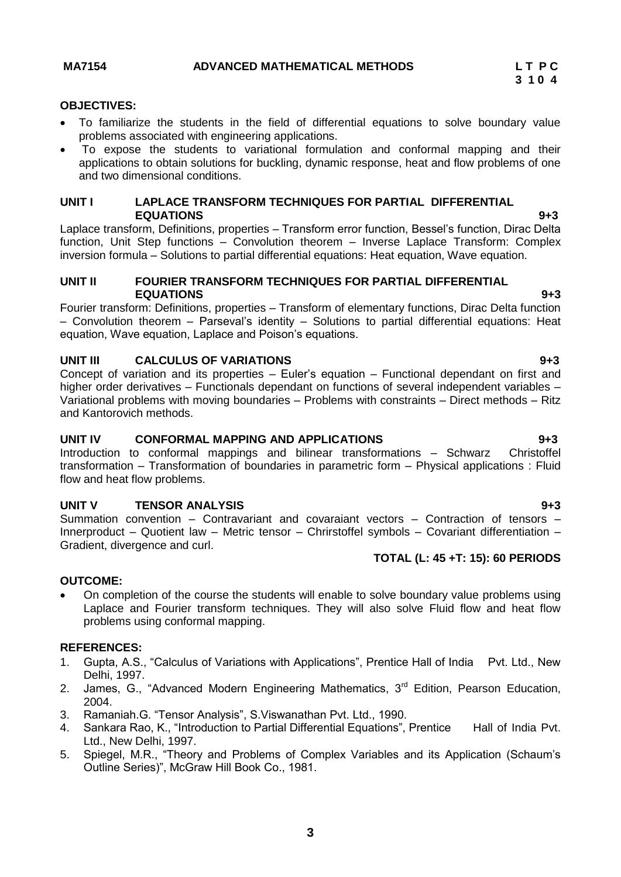# <span id="page-2-0"></span>**OBJECTIVES:**

- To familiarize the students in the field of differential equations to solve boundary value problems associated with engineering applications.
- To expose the students to variational formulation and conformal mapping and their applications to obtain solutions for buckling, dynamic response, heat and flow problems of one and two dimensional conditions.

### **UNIT I LAPLACE TRANSFORM TECHNIQUES FOR PARTIAL DIFFERENTIAL EQUATIONS 9+3**

Laplace transform, Definitions, properties – Transform error function, Bessel's function, Dirac Delta function, Unit Step functions – Convolution theorem – Inverse Laplace Transform: Complex inversion formula – Solutions to partial differential equations: Heat equation, Wave equation.

### **UNIT II FOURIER TRANSFORM TECHNIQUES FOR PARTIAL DIFFERENTIAL EQUATIONS 9+3**

Fourier transform: Definitions, properties – Transform of elementary functions, Dirac Delta function – Convolution theorem – Parseval's identity – Solutions to partial differential equations: Heat equation, Wave equation, Laplace and Poison's equations.

# **UNIT III CALCULUS OF VARIATIONS 9+3**

Concept of variation and its properties – Euler's equation – Functional dependant on first and higher order derivatives – Functionals dependant on functions of several independent variables – Variational problems with moving boundaries – Problems with constraints – Direct methods – Ritz and Kantorovich methods.

### **UNIT IV CONFORMAL MAPPING AND APPLICATIONS 9+3**

Introduction to conformal mappings and bilinear transformations – Schwarz Christoffel transformation – Transformation of boundaries in parametric form – Physical applications : Fluid flow and heat flow problems.

### **UNIT V TENSOR ANALYSIS** 9+3

Summation convention – Contravariant and covaraiant vectors – Contraction of tensors – Innerproduct – Quotient law – Metric tensor – Chrirstoffel symbols – Covariant differentiation – Gradient, divergence and curl.

### **TOTAL (L: 45 +T: 15): 60 PERIODS**

### **OUTCOME:**

 On completion of the course the students will enable to solve boundary value problems using Laplace and Fourier transform techniques. They will also solve Fluid flow and heat flow problems using conformal mapping.

### **REFERENCES:**

- 1. Gupta, A.S., "Calculus of Variations with Applications", Prentice Hall of India Pvt. Ltd., New Delhi, 1997.
- 2. James, G., "Advanced Modern Engineering Mathematics, 3<sup>rd</sup> Edition, Pearson Education, 2004.
- 3. Ramaniah.G. "Tensor Analysis", S.Viswanathan Pvt. Ltd., 1990.
- 4. Sankara Rao, K., "Introduction to Partial Differential Equations", Prentice Hall of India Pvt. Ltd., New Delhi, 1997.
- 5. Spiegel, M.R., "Theory and Problems of Complex Variables and its Application (Schaum's Outline Series)", McGraw Hill Book Co., 1981.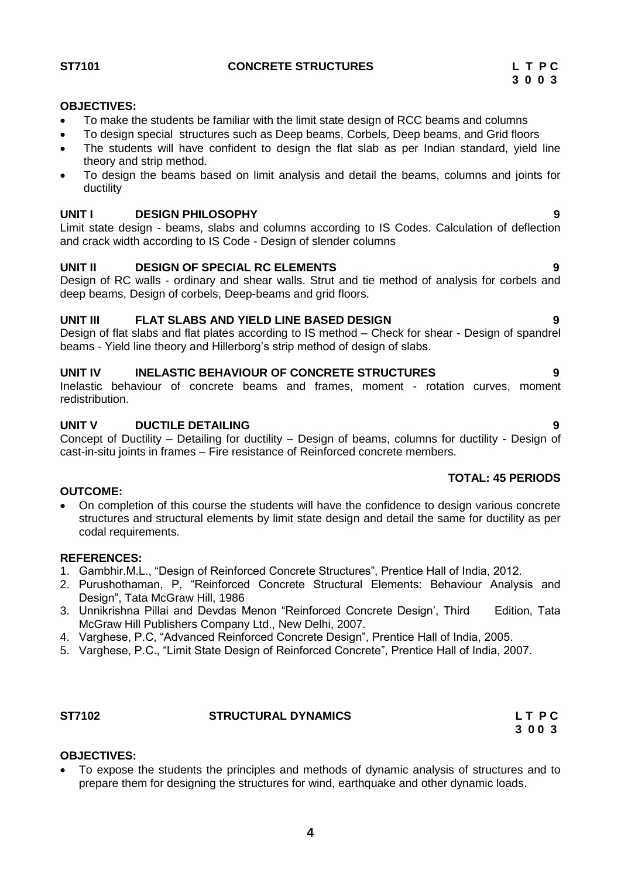<span id="page-3-0"></span>

**ST7101 CONCRETE STRUCTURES L T P C**

# **OBJECTIVES:**

- To make the students be familiar with the limit state design of RCC beams and columns
- To design special structures such as Deep beams, Corbels, Deep beams, and Grid floors
- The students will have confident to design the flat slab as per Indian standard, yield line theory and strip method.
- To design the beams based on limit analysis and detail the beams, columns and joints for ductility

## **UNIT I DESIGN PHILOSOPHY 9**

Limit state design - beams, slabs and columns according to IS Codes. Calculation of deflection and crack width according to IS Code - Design of slender columns

# **UNIT II DESIGN OF SPECIAL RC ELEMENTS 9**

Design of RC walls - ordinary and shear walls. Strut and tie method of analysis for corbels and deep beams, Design of corbels, Deep-beams and grid floors.

# **UNIT III FLAT SLABS AND YIELD LINE BASED DESIGN 9**

Design of flat slabs and flat plates according to IS method – Check for shear - Design of spandrel beams - Yield line theory and Hillerborg's strip method of design of slabs.

# **UNIT IV INELASTIC BEHAVIOUR OF CONCRETE STRUCTURES 9**

Inelastic behaviour of concrete beams and frames, moment - rotation curves, moment redistribution.

# **UNIT V DUCTILE DETAILING 9**

Concept of Ductility – Detailing for ductility – Design of beams, columns for ductility - Design of cast-in-situ joints in frames – Fire resistance of Reinforced concrete members.

### **TOTAL: 45 PERIODS**

### **OUTCOME:**

 On completion of this course the students will have the confidence to design various concrete structures and structural elements by limit state design and detail the same for ductility as per codal requirements.

### **REFERENCES:**

- 1. Gambhir.M.L., "Design of Reinforced Concrete Structures", Prentice Hall of India, 2012.
- 2. Purushothaman, P, "Reinforced Concrete Structural Elements: Behaviour Analysis and Design", Tata McGraw Hill, 1986
- 3. Unnikrishna Pillai and Devdas Menon "Reinforced Concrete Design', Third Edition, Tata McGraw Hill Publishers Company Ltd., New Delhi, 2007.
- 4. Varghese, P.C, "Advanced Reinforced Concrete Design", Prentice Hall of India, 2005.
- 5. Varghese, P.C., "Limit State Design of Reinforced Concrete", Prentice Hall of India, 2007.

# <span id="page-3-1"></span>ST7102 STRUCTURAL DYNAMICS LTPC

 **3 0 0 3**

# **OBJECTIVES:**

 To expose the students the principles and methods of dynamic analysis of structures and to prepare them for designing the structures for wind, earthquake and other dynamic loads.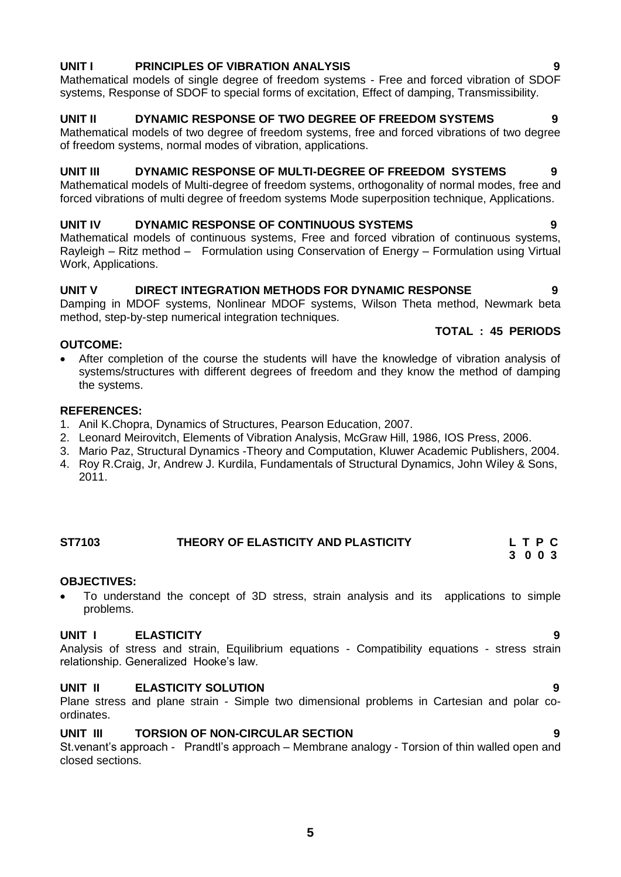# **UNIT I PRINCIPLES OF VIBRATION ANALYSIS 9**

Mathematical models of single degree of freedom systems - Free and forced vibration of SDOF systems, Response of SDOF to special forms of excitation, Effect of damping, Transmissibility.

# **UNIT II DYNAMIC RESPONSE OF TWO DEGREE OF FREEDOM SYSTEMS 9**

Mathematical models of two degree of freedom systems, free and forced vibrations of two degree of freedom systems, normal modes of vibration, applications.

# **UNIT III DYNAMIC RESPONSE OF MULTI-DEGREE OF FREEDOM SYSTEMS 9**

Mathematical models of Multi-degree of freedom systems, orthogonality of normal modes, free and forced vibrations of multi degree of freedom systems Mode superposition technique, Applications.

# **UNIT IV DYNAMIC RESPONSE OF CONTINUOUS SYSTEMS 9**

Mathematical models of continuous systems, Free and forced vibration of continuous systems, Rayleigh – Ritz method – Formulation using Conservation of Energy – Formulation using Virtual Work, Applications.

# **UNIT V DIRECT INTEGRATION METHODS FOR DYNAMIC RESPONSE 9**

Damping in MDOF systems, Nonlinear MDOF systems, Wilson Theta method, Newmark beta method, step-by-step numerical integration techniques.

# **TOTAL : 45 PERIODS**

# **OUTCOME:**

 After completion of the course the students will have the knowledge of vibration analysis of systems/structures with different degrees of freedom and they know the method of damping the systems.

# **REFERENCES:**

- 1. Anil K.Chopra, Dynamics of Structures, Pearson Education, 2007.
- 2. Leonard Meirovitch, Elements of Vibration Analysis, McGraw Hill, 1986, IOS Press, 2006.
- 3. Mario Paz, Structural Dynamics -Theory and Computation, Kluwer Academic Publishers, 2004.
- 4. Roy R.Craig, Jr, [Andrew J. Kurdila,](http://www.google.co.in/search?hl=en&safe=active&tbm=bks&tbm=bks&q=inauthor:%22Andrew+J.+Kurdila%22&sa=X&ei=HDN5UNrFII-3rAeQ4ICYDg&ved=0CD0Q9AgwAQ&biw=1016&bih=539) Fundamentals of Structural Dynamics, John Wiley & Sons, 2011.

#### <span id="page-4-0"></span>**ST7103 THEORY OF ELASTICITY AND PLASTICITY L T P C 3 0 0 3**

# **OBJECTIVES:**

 To understand the concept of 3D stress, strain analysis and its applications to simple problems.

# **UNIT I ELASTICITY 9**

Analysis of stress and strain, Equilibrium equations - Compatibility equations - stress strain relationship. Generalized Hooke's law.

# **UNIT II ELASTICITY SOLUTION 9**

Plane stress and plane strain - Simple two dimensional problems in Cartesian and polar coordinates.

# **UNIT III TORSION OF NON-CIRCULAR SECTION 9**

St.venant's approach - Prandtl's approach – Membrane analogy - Torsion of thin walled open and closed sections.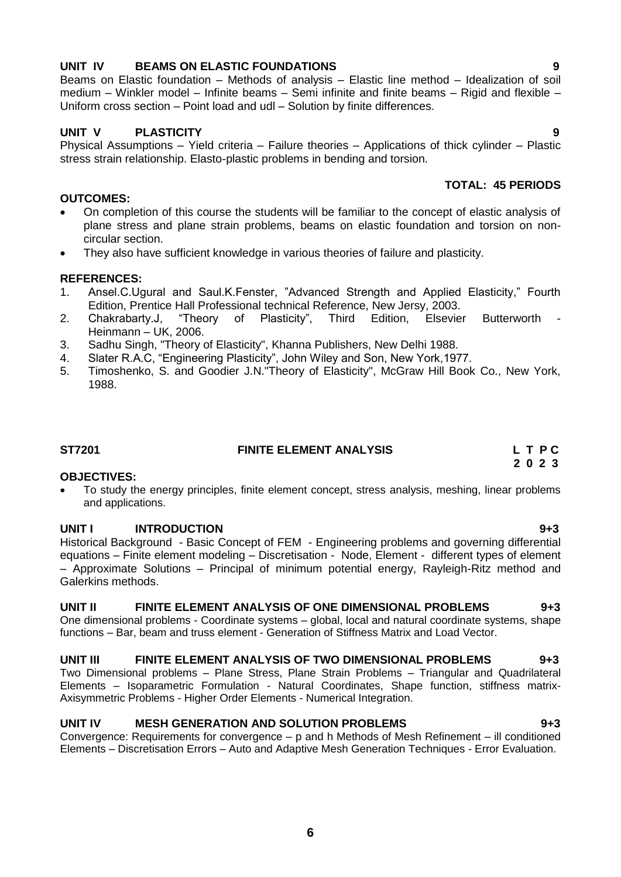# **UNIT IV BEAMS ON ELASTIC FOUNDATIONS 9**

Beams on Elastic foundation – Methods of analysis – Elastic line method – Idealization of soil medium – Winkler model – Infinite beams – Semi infinite and finite beams – Rigid and flexible – Uniform cross section – Point load and udl – Solution by finite differences.

# **UNIT V PLASTICITY 9**

Physical Assumptions – Yield criteria – Failure theories – Applications of thick cylinder – Plastic stress strain relationship. Elasto-plastic problems in bending and torsion.

# **OUTCOMES:**

- On completion of this course the students will be familiar to the concept of elastic analysis of plane stress and plane strain problems, beams on elastic foundation and torsion on noncircular section.
- They also have sufficient knowledge in various theories of failure and plasticity.

# **REFERENCES:**

- 1. Ansel.C.Ugural and Saul.K.Fenster, "Advanced Strength and Applied Elasticity," Fourth Edition, Prentice Hall Professional technical Reference, New Jersy, 2003.
- 2. Chakrabarty.J, "Theory of Plasticity", Third Edition, Elsevier Butterworth Heinmann – UK, 2006.
- 3. Sadhu Singh, "Theory of Elasticity", Khanna Publishers, New Delhi 1988.
- 4. Slater R.A.C, "Engineering Plasticity", John Wiley and Son, New York,1977.
- 5. Timoshenko, S. and Goodier J.N."Theory of Elasticity", McGraw Hill Book Co., New York, 1988.

# <span id="page-5-0"></span>**ST7201 FINITE ELEMENT ANALYSIS L T P C**

# **OBJECTIVES:**

 To study the energy principles, finite element concept, stress analysis, meshing, linear problems and applications.

# **UNIT I INTRODUCTION 9+3**

Historical Background - Basic Concept of FEM - Engineering problems and governing differential equations – Finite element modeling – Discretisation - Node, Element - different types of element – Approximate Solutions – Principal of minimum potential energy, Rayleigh-Ritz method and Galerkins methods.

### **UNIT II FINITE ELEMENT ANALYSIS OF ONE DIMENSIONAL PROBLEMS 9+3**

One dimensional problems - Coordinate systems – global, local and natural coordinate systems, shape functions – Bar, beam and truss element - Generation of Stiffness Matrix and Load Vector.

# **UNIT III FINITE ELEMENT ANALYSIS OF TWO DIMENSIONAL PROBLEMS 9+3**

Two Dimensional problems – Plane Stress, Plane Strain Problems – Triangular and Quadrilateral Elements – Isoparametric Formulation - Natural Coordinates, Shape function, stiffness matrix-Axisymmetric Problems - Higher Order Elements - Numerical Integration.

# **UNIT IV MESH GENERATION AND SOLUTION PROBLEMS 9+3**

Convergence: Requirements for convergence – p and h Methods of Mesh Refinement – ill conditioned Elements – Discretisation Errors – Auto and Adaptive Mesh Generation Techniques - Error Evaluation.

**TOTAL: 45 PERIODS**

 **2 0 2 3**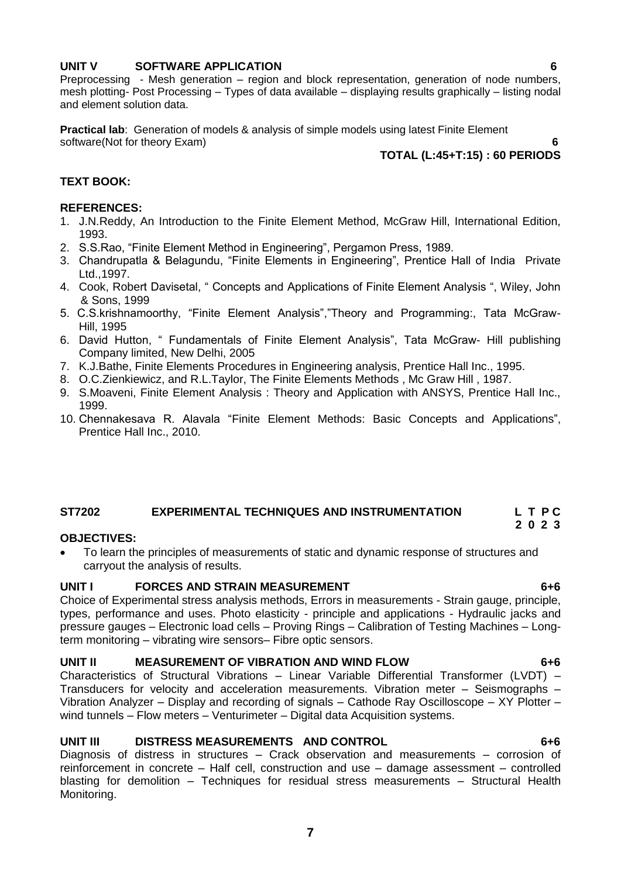# **UNIT V SOFTWARE APPLICATION 6**

Preprocessing - Mesh generation – region and block representation, generation of node numbers, mesh plotting- Post Processing – Types of data available – displaying results graphically – listing nodal and element solution data.

**Practical lab**: Generation of models & analysis of simple models using latest Finite Element software(Not for theory Exam) **6** 

# **TOTAL (L:45+T:15) : 60 PERIODS**

# **TEXT BOOK:**

# **REFERENCES:**

- 1. J.N.Reddy, An Introduction to the Finite Element Method, McGraw Hill, International Edition, 1993.
- 2. S.S.Rao, "Finite Element Method in Engineering", Pergamon Press, 1989.
- 3. Chandrupatla & Belagundu, "Finite Elements in Engineering", Prentice Hall of India Private Ltd.,1997.
- 4. Cook, Robert Davisetal, " Concepts and Applications of Finite Element Analysis ", Wiley, John & Sons, 1999
- 5. C.S.krishnamoorthy, "Finite Element Analysis","Theory and Programming:, Tata McGraw-Hill, 1995
- 6. David Hutton, " Fundamentals of Finite Element Analysis", Tata McGraw- Hill publishing Company limited, New Delhi, 2005
- 7. K.J.Bathe, Finite Elements Procedures in Engineering analysis, Prentice Hall Inc., 1995.
- 8. O.C.Zienkiewicz, and R.L.Taylor, The Finite Elements Methods , Mc Graw Hill , 1987.
- 9. S.Moaveni, Finite Element Analysis : Theory and Application with ANSYS, Prentice Hall Inc., 1999.
- 10. Chennakesava R. Alavala ["Finite Element Methods: Basic Concepts and Applications"](http://www.abebooks.com/servlet/BookDetailsPL?bi=4472319388&searchurl=an%3Dchennakesava%2Br%2Balavala%26bsi%3D0%26ds%3D30), Prentice Hall Inc., 2010.

# <span id="page-6-0"></span>**ST7202 EXPERIMENTAL TECHNIQUES AND INSTRUMENTATION L T P C**

# **OBJECTIVES:**

 To learn the principles of measurements of static and dynamic response of structures and carryout the analysis of results.

# **UNIT I FORCES AND STRAIN MEASUREMENT 6+6**

Choice of Experimental stress analysis methods, Errors in measurements - Strain gauge, principle, types, performance and uses. Photo elasticity - principle and applications - Hydraulic jacks and pressure gauges – Electronic load cells – Proving Rings – Calibration of Testing Machines – Longterm monitoring – vibrating wire sensors– Fibre optic sensors.

### **UNIT II MEASUREMENT OF VIBRATION AND WIND FLOW 6+6**

Characteristics of Structural Vibrations – Linear Variable Differential Transformer (LVDT) – Transducers for velocity and acceleration measurements. Vibration meter – Seismographs – Vibration Analyzer – Display and recording of signals – Cathode Ray Oscilloscope – XY Plotter – wind tunnels – Flow meters – Venturimeter – Digital data Acquisition systems.

# **UNIT III DISTRESS MEASUREMENTS AND CONTROL 6+6**

Diagnosis of distress in structures – Crack observation and measurements – corrosion of reinforcement in concrete – Half cell, construction and use – damage assessment – controlled blasting for demolition – Techniques for residual stress measurements – Structural Health Monitoring.

 **2 0 2 3**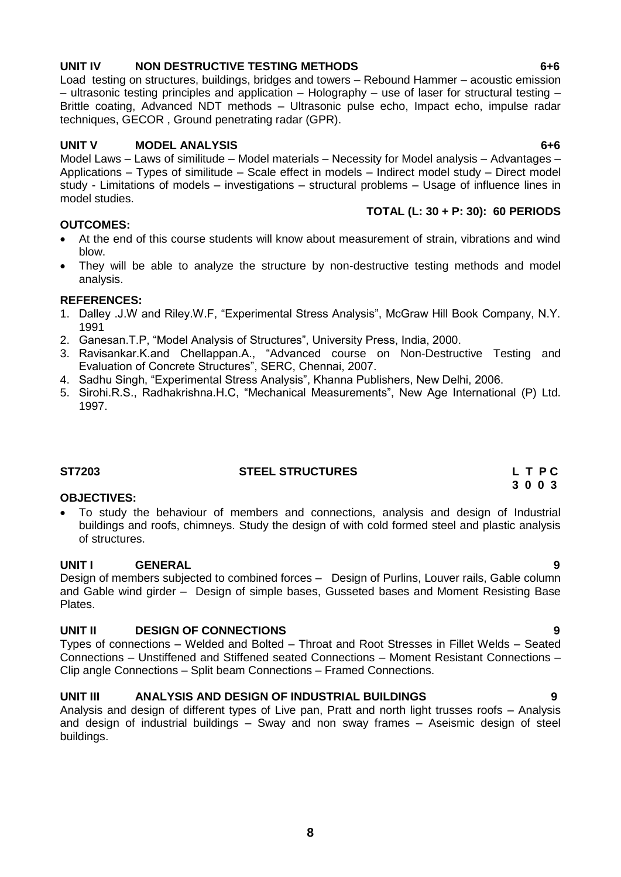# **UNIT IV NON DESTRUCTIVE TESTING METHODS 6+6**

Load testing on structures, buildings, bridges and towers – Rebound Hammer – acoustic emission – ultrasonic testing principles and application – Holography – use of laser for structural testing – Brittle coating, Advanced NDT methods – Ultrasonic pulse echo, Impact echo, impulse radar techniques, GECOR , Ground penetrating radar (GPR).

# **UNIT V MODEL ANALYSIS 6+6**

Model Laws – Laws of similitude – Model materials – Necessity for Model analysis – Advantages – Applications – Types of similitude – Scale effect in models – Indirect model study – Direct model study - Limitations of models – investigations – structural problems – Usage of influence lines in model studies. **TOTAL (L: 30 + P: 30): 60 PERIODS**

# **OUTCOMES:**

- At the end of this course students will know about measurement of strain, vibrations and wind blow.
- They will be able to analyze the structure by non-destructive testing methods and model analysis.

# **REFERENCES:**

- 1. Dalley .J.W and Riley.W.F, "Experimental Stress Analysis", McGraw Hill Book Company, N.Y. 1991
- 2. Ganesan.T.P, "Model Analysis of Structures", University Press, India, 2000.
- 3. Ravisankar.K.and Chellappan.A., "Advanced course on Non-Destructive Testing and Evaluation of Concrete Structures", SERC, Chennai, 2007.
- 4. Sadhu Singh, "Experimental Stress Analysis", Khanna Publishers, New Delhi, 2006.
- 5. Sirohi.R.S., Radhakrishna.H.C, "Mechanical Measurements", New Age International (P) Ltd. 1997.

# <span id="page-7-0"></span>**ST7203 STEEL STRUCTURES L T P C**

# **OBJECTIVES:**

 To study the behaviour of members and connections, analysis and design of Industrial buildings and roofs, chimneys. Study the design of with cold formed steel and plastic analysis of structures.

# **UNIT I GENERAL 9**

Design of members subjected to combined forces – Design of Purlins, Louver rails, Gable column and Gable wind girder – Design of simple bases, Gusseted bases and Moment Resisting Base Plates.

# **UNIT II DESIGN OF CONNECTIONS 9**

Types of connections – Welded and Bolted – Throat and Root Stresses in Fillet Welds – Seated Connections – Unstiffened and Stiffened seated Connections – Moment Resistant Connections – Clip angle Connections – Split beam Connections – Framed Connections.

# **UNIT III ANALYSIS AND DESIGN OF INDUSTRIAL BUILDINGS 9**

Analysis and design of different types of Live pan, Pratt and north light trusses roofs – Analysis and design of industrial buildings – Sway and non sway frames – Aseismic design of steel buildings.

 **3 0 0 3**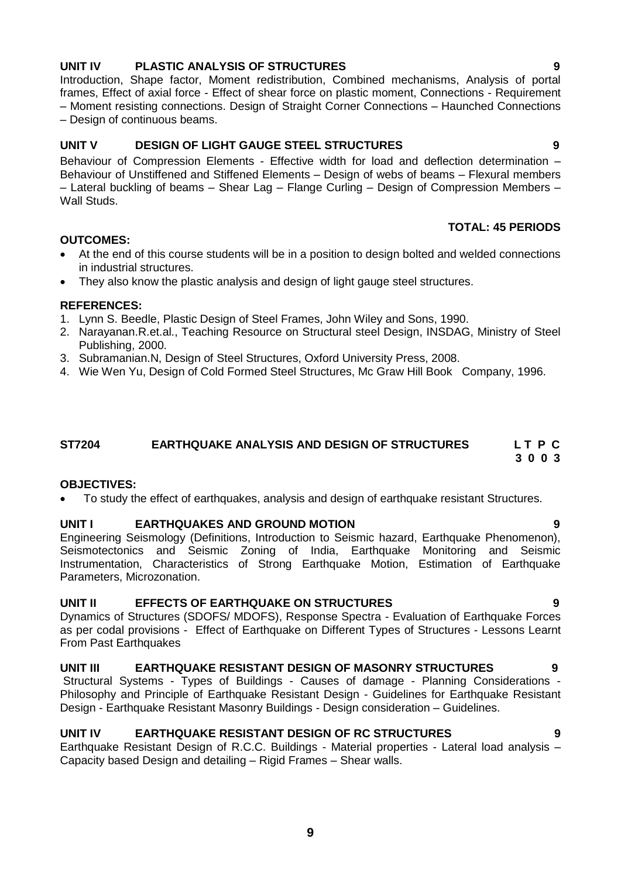# **UNIT IV PLASTIC ANALYSIS OF STRUCTURES 9**

Introduction, Shape factor, Moment redistribution, Combined mechanisms, Analysis of portal frames, Effect of axial force - Effect of shear force on plastic moment, Connections - Requirement – Moment resisting connections. Design of Straight Corner Connections – Haunched Connections – Design of continuous beams.

# **UNIT V DESIGN OF LIGHT GAUGE STEEL STRUCTURES 9**

Behaviour of Compression Elements - Effective width for load and deflection determination – Behaviour of Unstiffened and Stiffened Elements – Design of webs of beams – Flexural members – Lateral buckling of beams – Shear Lag – Flange Curling – Design of Compression Members – Wall Studs.

# **TOTAL: 45 PERIODS**

# **OUTCOMES:**

- At the end of this course students will be in a position to design bolted and welded connections in industrial structures.
- They also know the plastic analysis and design of light gauge steel structures.

# **REFERENCES:**

- 1. Lynn S. Beedle, Plastic Design of Steel Frames, John Wiley and Sons, 1990.
- 2. Narayanan.R.et.al., Teaching Resource on Structural steel Design, INSDAG, Ministry of Steel Publishing, 2000.
- 3. Subramanian.N, Design of Steel Structures, Oxford University Press, 2008.
- 4. Wie Wen Yu, Design of Cold Formed Steel Structures, Mc Graw Hill Book Company, 1996.

#### <span id="page-8-0"></span>**ST7204****EARTHQUAKE ANALYSIS AND DESIGN OF STRUCTURES L T P C 3 0 0 3**

### **OBJECTIVES:**

To study the effect of earthquakes, analysis and design of earthquake resistant Structures.

### **UNIT I EARTHQUAKES AND GROUND MOTION 9**

Engineering Seismology (Definitions, Introduction to Seismic hazard, Earthquake Phenomenon), Seismotectonics and Seismic Zoning of India, Earthquake Monitoring and Seismic Instrumentation, Characteristics of Strong Earthquake Motion, Estimation of Earthquake Parameters, Microzonation.

### **UNIT II EFFECTS OF EARTHQUAKE ON STRUCTURES 9**

Dynamics of Structures (SDOFS/ MDOFS), Response Spectra - Evaluation of Earthquake Forces as per codal provisions - Effect of Earthquake on Different Types of Structures - Lessons Learnt From Past Earthquakes

### **UNIT III EARTHQUAKE RESISTANT DESIGN OF MASONRY STRUCTURES 9**

Structural Systems - Types of Buildings - Causes of damage - Planning Considerations - Philosophy and Principle of Earthquake Resistant Design - Guidelines for Earthquake Resistant Design - Earthquake Resistant Masonry Buildings - Design consideration – Guidelines.

# **UNIT IV EARTHQUAKE RESISTANT DESIGN OF RC STRUCTURES 9**

Earthquake Resistant Design of R.C.C. Buildings - Material properties - Lateral load analysis – Capacity based Design and detailing – Rigid Frames – Shear walls.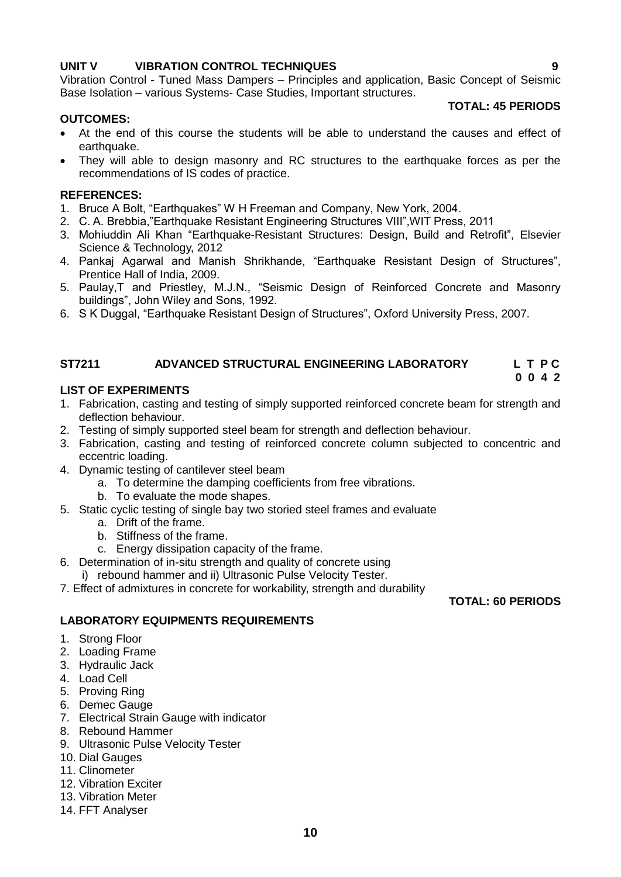# **UNIT V VIBRATION CONTROL TECHNIQUES 9**

Vibration Control - Tuned Mass Dampers – Principles and application, Basic Concept of Seismic Base Isolation – various Systems- Case Studies, Important structures.

# **OUTCOMES:**

- At the end of this course the students will be able to understand the causes and effect of earthquake.
- They will able to design masonry and RC structures to the earthquake forces as per the recommendations of IS codes of practice.

# **REFERENCES:**

- 1. Bruce A Bolt, "Earthquakes" W H Freeman and Company, New York, 2004.
- 2. C. A. Brebbia,"Earthquake Resistant Engineering Structures VIII",WIT Press, 2011
- 3. Mohiuddin Ali Khan "Earthquake-Resistant Structures: Design, Build and Retrofit", Elsevier Science & Technology, 2012
- 4. Pankaj Agarwal and Manish Shrikhande, "Earthquake Resistant Design of Structures", Prentice Hall of India, 2009.
- 5. Paulay,T and Priestley, M.J.N., "Seismic Design of Reinforced Concrete and Masonry buildings", John Wiley and Sons, 1992.
- 6. S K Duggal, "Earthquake Resistant Design of Structures", Oxford University Press, 2007.

#### <span id="page-9-0"></span>**ST7211 ADVANCED STRUCTURAL ENGINEERING LABORATORY L T P C 0 0 4 2**

# **LIST OF EXPERIMENTS**

- 1. Fabrication, casting and testing of simply supported reinforced concrete beam for strength and deflection behaviour.
- 2. Testing of simply supported steel beam for strength and deflection behaviour.
- 3. Fabrication, casting and testing of reinforced concrete column subjected to concentric and eccentric loading.
- 4. Dynamic testing of cantilever steel beam
	- a. To determine the damping coefficients from free vibrations.
	- b. To evaluate the mode shapes.
- 5. Static cyclic testing of single bay two storied steel frames and evaluate
	- a. Drift of the frame.
	- b. Stiffness of the frame.
	- c. Energy dissipation capacity of the frame.
- 6. Determination of in-situ strength and quality of concrete using
	- i) rebound hammer and ii) Ultrasonic Pulse Velocity Tester.
- 7. Effect of admixtures in concrete for workability, strength and durability

# **TOTAL: 60 PERIODS**

# **LABORATORY EQUIPMENTS REQUIREMENTS**

- 1. Strong Floor
- 2. Loading Frame
- 3. Hydraulic Jack
- 4. Load Cell
- 5. Proving Ring
- 6. Demec Gauge
- 7. Electrical Strain Gauge with indicator
- 8. Rebound Hammer
- 9. Ultrasonic Pulse Velocity Tester
- 10. Dial Gauges
- 11. Clinometer
- 12. Vibration Exciter
- 13. Vibration Meter
- 14. FFT Analyser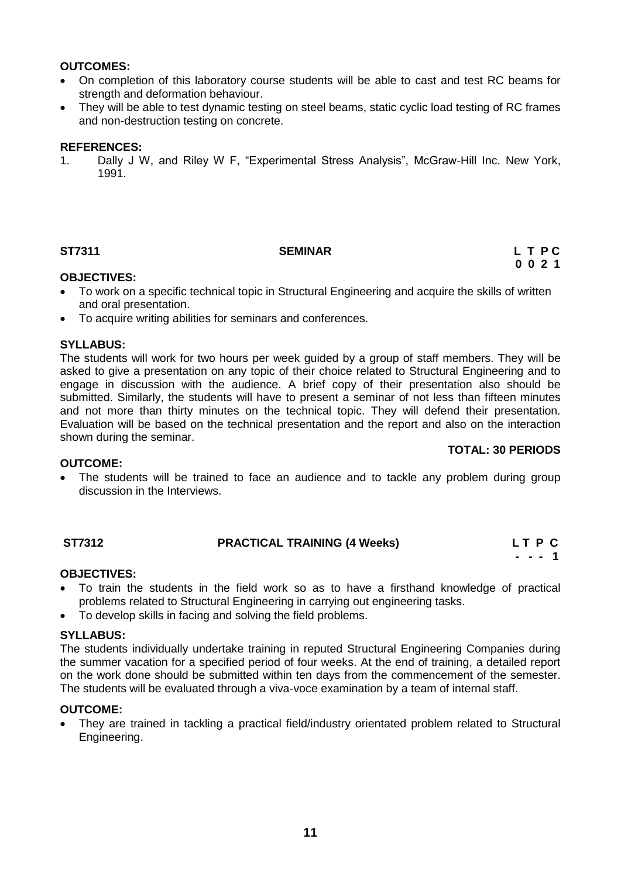# **OUTCOMES:**

- On completion of this laboratory course students will be able to cast and test RC beams for strength and deformation behaviour.
- They will be able to test dynamic testing on steel beams, static cyclic load testing of RC frames and non-destruction testing on concrete.

### **REFERENCES:**

1. Dally J W, and Riley W F, "Experimental Stress Analysis", McGraw-Hill Inc. New York, 1991.

# <span id="page-10-0"></span>**ST7311 SEMINAR L T P C**

# **0 0 2 1**

# **OBJECTIVES:**

- To work on a specific technical topic in Structural Engineering and acquire the skills of written and oral presentation.
- To acquire writing abilities for seminars and conferences.

# **SYLLABUS:**

The students will work for two hours per week guided by a group of staff members. They will be asked to give a presentation on any topic of their choice related to Structural Engineering and to engage in discussion with the audience. A brief copy of their presentation also should be submitted. Similarly, the students will have to present a seminar of not less than fifteen minutes and not more than thirty minutes on the technical topic. They will defend their presentation. Evaluation will be based on the technical presentation and the report and also on the interaction shown during the seminar.

# **TOTAL: 30 PERIODS**

### **OUTCOME:**

 The students will be trained to face an audience and to tackle any problem during group discussion in the Interviews.

#### <span id="page-10-1"></span>**ST7312 PRACTICAL TRAINING (4 Weeks) L T P C - - - 1**

# **OBJECTIVES:**

- To train the students in the field work so as to have a firsthand knowledge of practical problems related to Structural Engineering in carrying out engineering tasks.
- To develop skills in facing and solving the field problems.

## **SYLLABUS:**

The students individually undertake training in reputed Structural Engineering Companies during the summer vacation for a specified period of four weeks. At the end of training, a detailed report on the work done should be submitted within ten days from the commencement of the semester. The students will be evaluated through a viva-voce examination by a team of internal staff.

### **OUTCOME:**

 They are trained in tackling a practical field/industry orientated problem related to Structural Engineering.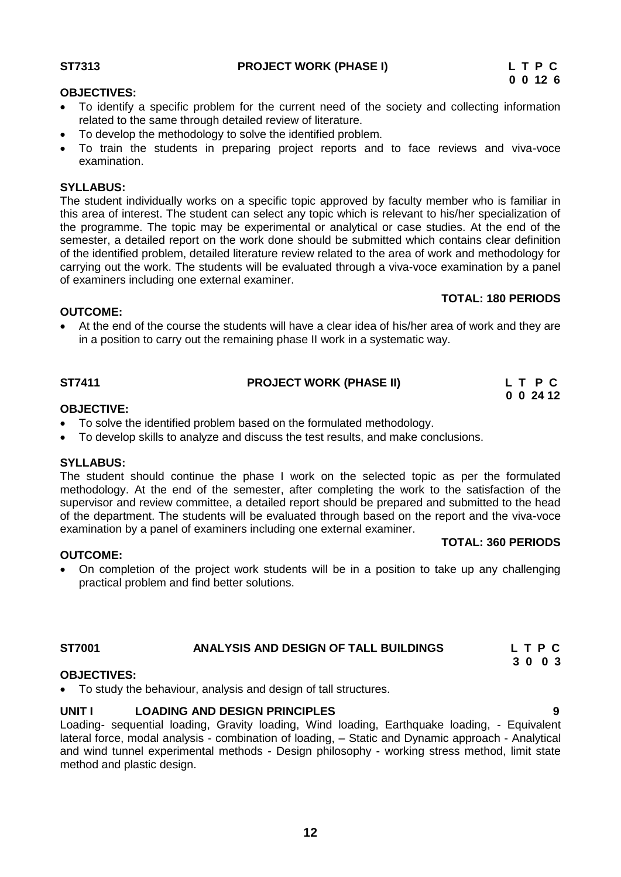<span id="page-11-0"></span>**ST7313****PROJECT WORK (PHASE I) L T P C**

# **OBJECTIVES:**

- To identify a specific problem for the current need of the society and collecting information related to the same through detailed review of literature.
- To develop the methodology to solve the identified problem.
- To train the students in preparing project reports and to face reviews and viva-voce examination.

# **SYLLABUS:**

The student individually works on a specific topic approved by faculty member who is familiar in this area of interest. The student can select any topic which is relevant to his/her specialization of the programme. The topic may be experimental or analytical or case studies. At the end of the semester, a detailed report on the work done should be submitted which contains clear definition of the identified problem, detailed literature review related to the area of work and methodology for carrying out the work. The students will be evaluated through a viva-voce examination by a panel of examiners including one external examiner.

# **TOTAL: 180 PERIODS**

# **OUTCOME:**

 At the end of the course the students will have a clear idea of his/her area of work and they are in a position to carry out the remaining phase II work in a systematic way.

<span id="page-11-1"></span>

| <b>ST7411</b> | <b>PROJECT WORK (PHASE II)</b> | L T P C           |
|---------------|--------------------------------|-------------------|
|               |                                | $0 \t0 \t24 \t12$ |

# **OBJECTIVE:**

- To solve the identified problem based on the formulated methodology.
- To develop skills to analyze and discuss the test results, and make conclusions.

# **SYLLABUS:**

**OUTCOME:**

The student should continue the phase I work on the selected topic as per the formulated methodology. At the end of the semester, after completing the work to the satisfaction of the supervisor and review committee, a detailed report should be prepared and submitted to the head of the department. The students will be evaluated through based on the report and the viva-voce examination by a panel of examiners including one external examiner.

# **TOTAL: 360 PERIODS**

 On completion of the project work students will be in a position to take up any challenging practical problem and find better solutions.

# <span id="page-11-2"></span>**ST7001 ANALYSIS AND DESIGN OF TALL BUILDINGS L T P C**

#### **3 0 0 3 OBJECTIVES:**

To study the behaviour, analysis and design of tall structures.

# **UNIT I LOADING AND DESIGN PRINCIPLES 9**

Loading- sequential loading, Gravity loading, Wind loading, Earthquake loading, - Equivalent lateral force, modal analysis - combination of loading, – Static and Dynamic approach - Analytical and wind tunnel experimental methods - Design philosophy - working stress method, limit state method and plastic design.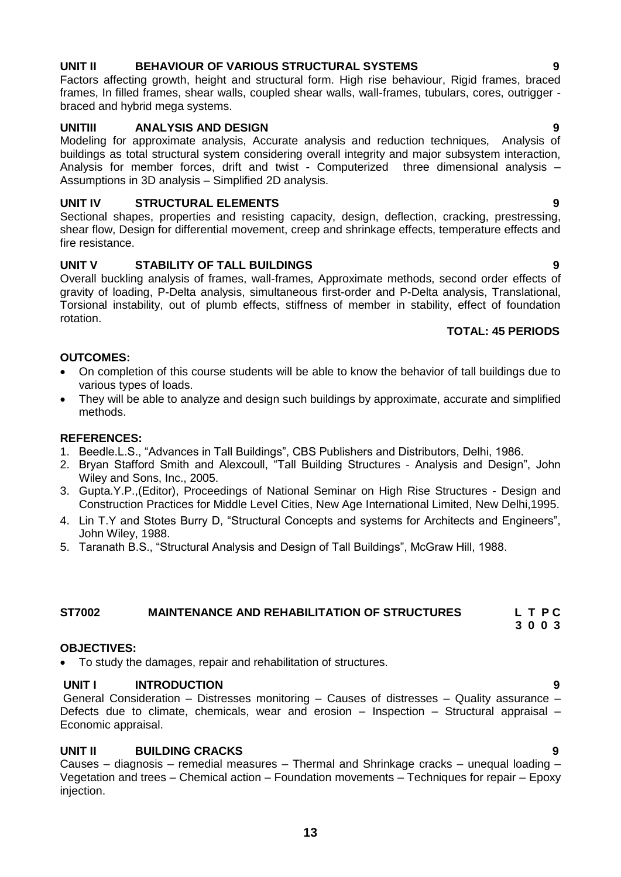# **UNIT II BEHAVIOUR OF VARIOUS STRUCTURAL SYSTEMS 9**

Factors affecting growth, height and structural form. High rise behaviour, Rigid frames, braced frames, In filled frames, shear walls, coupled shear walls, wall-frames, tubulars, cores, outrigger braced and hybrid mega systems.

# **UNITIII ANALYSIS AND DESIGN 9**

Modeling for approximate analysis, Accurate analysis and reduction techniques, Analysis of buildings as total structural system considering overall integrity and major subsystem interaction, Analysis for member forces, drift and twist - Computerized three dimensional analysis – Assumptions in 3D analysis – Simplified 2D analysis.

# **UNIT IV STRUCTURAL ELEMENTS 9**

Sectional shapes, properties and resisting capacity, design, deflection, cracking, prestressing, shear flow, Design for differential movement, creep and shrinkage effects, temperature effects and fire resistance.

# **UNIT V STABILITY OF TALL BUILDINGS 9**

Overall buckling analysis of frames, wall-frames, Approximate methods, second order effects of gravity of loading, P-Delta analysis, simultaneous first-order and P-Delta analysis, Translational, Torsional instability, out of plumb effects, stiffness of member in stability, effect of foundation rotation.

# **TOTAL: 45 PERIODS**

# **OUTCOMES:**

- On completion of this course students will be able to know the behavior of tall buildings due to various types of loads.
- They will be able to analyze and design such buildings by approximate, accurate and simplified methods.

# **REFERENCES:**

- 1. Beedle.L.S., "Advances in Tall Buildings", CBS Publishers and Distributors, Delhi, 1986.
- 2. Bryan Stafford Smith and Alexcoull, "Tall Building Structures Analysis and Design", John Wiley and Sons, Inc., 2005.
- 3. Gupta.Y.P.,(Editor), Proceedings of National Seminar on High Rise Structures Design and Construction Practices for Middle Level Cities, New Age International Limited, New Delhi,1995.
- 4. Lin T.Y and Stotes Burry D, "Structural Concepts and systems for Architects and Engineers", John Wiley, 1988.
- 5. Taranath B.S., "Structural Analysis and Design of Tall Buildings", McGraw Hill, 1988.

# <span id="page-12-0"></span>**ST7002 MAINTENANCE AND REHABILITATION OF STRUCTURES L T P C**

 **3 0 0 3**

# **OBJECTIVES:**

To study the damages, repair and rehabilitation of structures.

# **UNIT I** INTRODUCTION 9

General Consideration – Distresses monitoring – Causes of distresses – Quality assurance – Defects due to climate, chemicals, wear and erosion – Inspection – Structural appraisal – Economic appraisal.

# **UNIT II BUILDING CRACKS 9**

Causes – diagnosis – remedial measures – Thermal and Shrinkage cracks – unequal loading – Vegetation and trees – Chemical action – Foundation movements – Techniques for repair – Epoxy injection.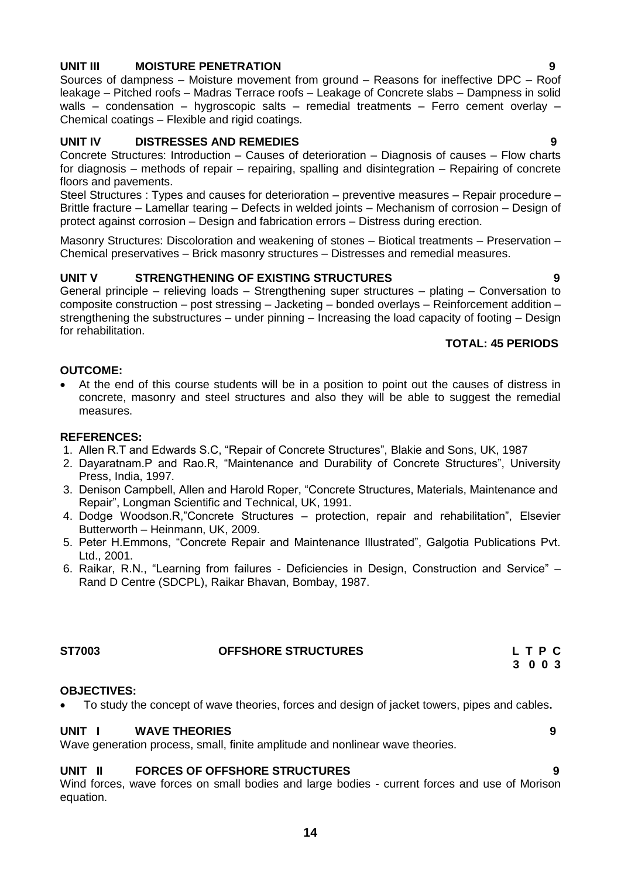# **UNIT III MOISTURE PENETRATION 9**

Sources of dampness – Moisture movement from ground – Reasons for ineffective DPC – Roof leakage – Pitched roofs – Madras Terrace roofs – Leakage of Concrete slabs – Dampness in solid walls – condensation – hygroscopic salts – remedial treatments – Ferro cement overlay – Chemical coatings – Flexible and rigid coatings.

# **UNIT IV DISTRESSES AND REMEDIES 9**

Concrete Structures: Introduction – Causes of deterioration – Diagnosis of causes – Flow charts for diagnosis – methods of repair – repairing, spalling and disintegration – Repairing of concrete floors and pavements.

Steel Structures : Types and causes for deterioration – preventive measures – Repair procedure – Brittle fracture – Lamellar tearing – Defects in welded joints – Mechanism of corrosion – Design of protect against corrosion – Design and fabrication errors – Distress during erection.

Masonry Structures: Discoloration and weakening of stones – Biotical treatments – Preservation – Chemical preservatives – Brick masonry structures – Distresses and remedial measures.

# **UNIT V STRENGTHENING OF EXISTING STRUCTURES 9**

General principle – relieving loads – Strengthening super structures – plating – Conversation to composite construction – post stressing – Jacketing – bonded overlays – Reinforcement addition – strengthening the substructures – under pinning – Increasing the load capacity of footing – Design for rehabilitation.

# **TOTAL: 45 PERIODS**

# **OUTCOME:**

 At the end of this course students will be in a position to point out the causes of distress in concrete, masonry and steel structures and also they will be able to suggest the remedial measures.

# **REFERENCES:**

- 1. Allen R.T and Edwards S.C, "Repair of Concrete Structures", Blakie and Sons, UK, 1987
- 2. Dayaratnam.P and Rao.R, "Maintenance and Durability of Concrete Structures", University Press, India, 1997.
- 3. Denison Campbell, Allen and Harold Roper, "Concrete Structures, Materials, Maintenance and Repair", Longman Scientific and Technical, UK, 1991.
- 4. Dodge Woodson.R,"Concrete Structures protection, repair and rehabilitation", Elsevier Butterworth – Heinmann, UK, 2009.
- 5. Peter H.Emmons, "Concrete Repair and Maintenance Illustrated", Galgotia Publications Pvt. Ltd., 2001.
- 6. Raikar, R.N., "Learning from failures Deficiencies in Design, Construction and Service" Rand D Centre (SDCPL), Raikar Bhavan, Bombay, 1987.

# <span id="page-13-0"></span>**ST7003 OFFSHORE STRUCTURES L T P C**

# **OBJECTIVES:**

To study the concept of wave theories, forces and design of jacket towers, pipes and cables**.**

# **UNIT I WAVE THEORIES 9**

Wave generation process, small, finite amplitude and nonlinear wave theories.

# **UNIT II FORCES OF OFFSHORE STRUCTURES 9**

Wind forces, wave forces on small bodies and large bodies - current forces and use of Morison equation.

 **3 0 0 3**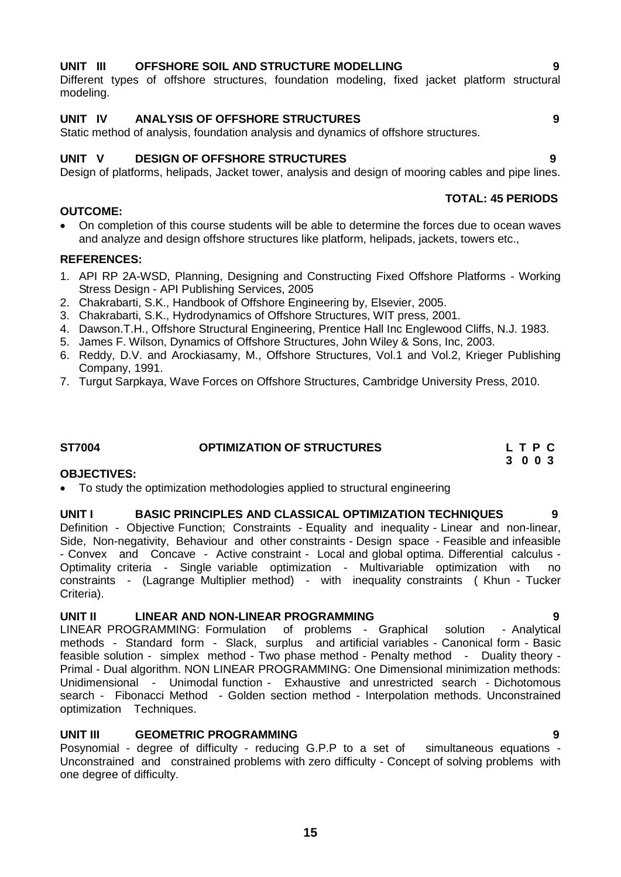# **15**

# **UNIT III OFFSHORE SOIL AND STRUCTURE MODELLING 9**

Different types of offshore structures, foundation modeling, fixed jacket platform structural modeling.

# **UNIT IV ANALYSIS OF OFFSHORE STRUCTURES 9**

Static method of analysis, foundation analysis and dynamics of offshore structures.

# **UNIT V DESIGN OF OFFSHORE STRUCTURES 9**

Design of platforms, helipads, Jacket tower, analysis and design of mooring cables and pipe lines.

# **OUTCOME:**

 On completion of this course students will be able to determine the forces due to ocean waves and analyze and design offshore structures like platform, helipads, jackets, towers etc.,

# **REFERENCES:**

- 1. API RP 2A-WSD, Planning, Designing and Constructing Fixed Offshore Platforms Working Stress Design - API Publishing Services, 2005
- 2. Chakrabarti, S.K., Handbook of Offshore Engineering by, Elsevier, 2005.
- 3. Chakrabarti, S.K., Hydrodynamics of Offshore Structures, WIT press, 2001.
- 4. Dawson.T.H., Offshore Structural Engineering, Prentice Hall Inc Englewood Cliffs, N.J. 1983.
- 5. [James F. Wilson,](http://www.amazon.com/s/ref=ntt_athr_dp_sr_1?_encoding=UTF8&field-author=James%20F.%20Wilson&ie=UTF8&search-alias=books&sort=relevancerank) Dynamics of Offshore Structures, John Wiley & Sons, Inc, 2003.
- 6. Reddy, D.V. and Arockiasamy, M., Offshore Structures, Vol.1 and Vol.2, Krieger Publishing Company, 1991.
- 7. [Turgut Sarpkaya,](http://www.amazon.com/s/ref=rdr_ext_aut?_encoding=UTF8&index=books&field-author=Turgut%20%27Sarp%27%20Sarpkaya) Wave Forces on Offshore Structures, Cambridge University Press, 2010.

# <span id="page-14-0"></span>**ST7004 OPTIMIZATION OF STRUCTURES L T P C**

 **3 0 0 3**

# **OBJECTIVES:**

To study the optimization methodologies applied to structural engineering

# **UNIT I BASIC PRINCIPLES AND CLASSICAL OPTIMIZATION TECHNIQUES 9**

Definition - Objective Function; Constraints - Equality and inequality - Linear and non-linear, Side, Non-negativity, Behaviour and other constraints - Design space - Feasible and infeasible - Convex and Concave - Active constraint - Local and global optima. Differential calculus - Optimality criteria - Single variable optimization - Multivariable optimization with no constraints - (Lagrange Multiplier method) - with inequality constraints ( Khun - Tucker Criteria).

# **UNIT II LINEAR AND NON-LINEAR PROGRAMMING 9**

LINEAR PROGRAMMING: Formulation of problems - Graphical solution - Analytical methods - Standard form - Slack, surplus and artificial variables - Canonical form - Basic feasible solution - simplex method - Two phase method - Penalty method - Duality theory - Primal - Dual algorithm. NON LINEAR PROGRAMMING: One Dimensional minimization methods: Unidimensional - Unimodal function - Exhaustive and unrestricted search - Dichotomous search - Fibonacci Method - Golden section method - Interpolation methods. Unconstrained optimization Techniques.

# **UNIT III GEOMETRIC PROGRAMMING 9**

Posynomial - degree of difficulty - reducing G.P.P to a set of simultaneous equations -Unconstrained and constrained problems with zero difficulty - Concept of solving problems with one degree of difficulty.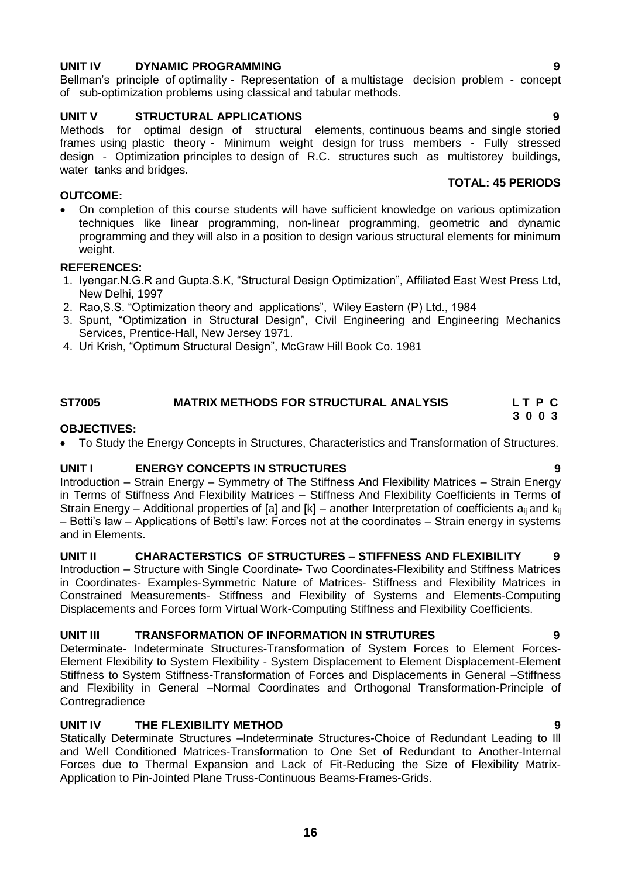# **UNIT IV DYNAMIC PROGRAMMING 9**

Bellman's principle of optimality - Representation of a multistage decision problem - concept of sub-optimization problems using classical and tabular methods.

# **UNIT V STRUCTURAL APPLICATIONS 9**

Methods for optimal design of structural elements, continuous beams and single storied frames using plastic theory - Minimum weight design for truss members - Fully stressed design - Optimization principles to design of R.C. structures such as multistorey buildings, water tanks and bridges.

# **OUTCOME:**

 On completion of this course students will have sufficient knowledge on various optimization techniques like linear programming, non-linear programming, geometric and dynamic programming and they will also in a position to design various structural elements for minimum weight.

# **REFERENCES:**

- 1. Iyengar.N.G.R and Gupta.S.K, "Structural Design Optimization", Affiliated East West Press Ltd, New Delhi, 1997
- 2. Rao,S.S. "Optimization theory and applications", Wiley Eastern (P) Ltd., 1984
- 3. Spunt, "Optimization in Structural Design", Civil Engineering and Engineering Mechanics Services, Prentice-Hall, New Jersey 1971.
- 4. Uri Krish, "Optimum Structural Design", McGraw Hill Book Co. 1981

# <span id="page-15-0"></span>**ST7005 MATRIX METHODS FOR STRUCTURAL ANALYSIS L T P C 3 0 0 3**

# **OBJECTIVES:**

To Study the Energy Concepts in Structures, Characteristics and Transformation of Structures.

# **UNIT I ENERGY CONCEPTS IN STRUCTURES 9**

Introduction – Strain Energy – Symmetry of The Stiffness And Flexibility Matrices – Strain Energy in Terms of Stiffness And Flexibility Matrices – Stiffness And Flexibility Coefficients in Terms of Strain Energy – Additional properties of [a] and [k] – another Interpretation of coefficients  $a_{ii}$  and  $k_{ii}$ – Betti's law – Applications of Betti's law: Forces not at the coordinates – Strain energy in systems and in Elements.

# **UNIT II CHARACTERSTICS OF STRUCTURES – STIFFNESS AND FLEXIBILITY 9**

Introduction – Structure with Single Coordinate- Two Coordinates-Flexibility and Stiffness Matrices in Coordinates- Examples-Symmetric Nature of Matrices- Stiffness and Flexibility Matrices in Constrained Measurements- Stiffness and Flexibility of Systems and Elements-Computing Displacements and Forces form Virtual Work-Computing Stiffness and Flexibility Coefficients.

# **UNIT III TRANSFORMATION OF INFORMATION IN STRUTURES 9**

Determinate- Indeterminate Structures-Transformation of System Forces to Element Forces-Element Flexibility to System Flexibility - System Displacement to Element Displacement-Element Stiffness to System Stiffness-Transformation of Forces and Displacements in General –Stiffness and Flexibility in General –Normal Coordinates and Orthogonal Transformation-Principle of **Contregradience** 

# **UNIT IV THE FLEXIBILITY METHOD 9**

Statically Determinate Structures –Indeterminate Structures-Choice of Redundant Leading to Ill and Well Conditioned Matrices-Transformation to One Set of Redundant to Another-Internal Forces due to Thermal Expansion and Lack of Fit-Reducing the Size of Flexibility Matrix-Application to Pin-Jointed Plane Truss-Continuous Beams-Frames-Grids.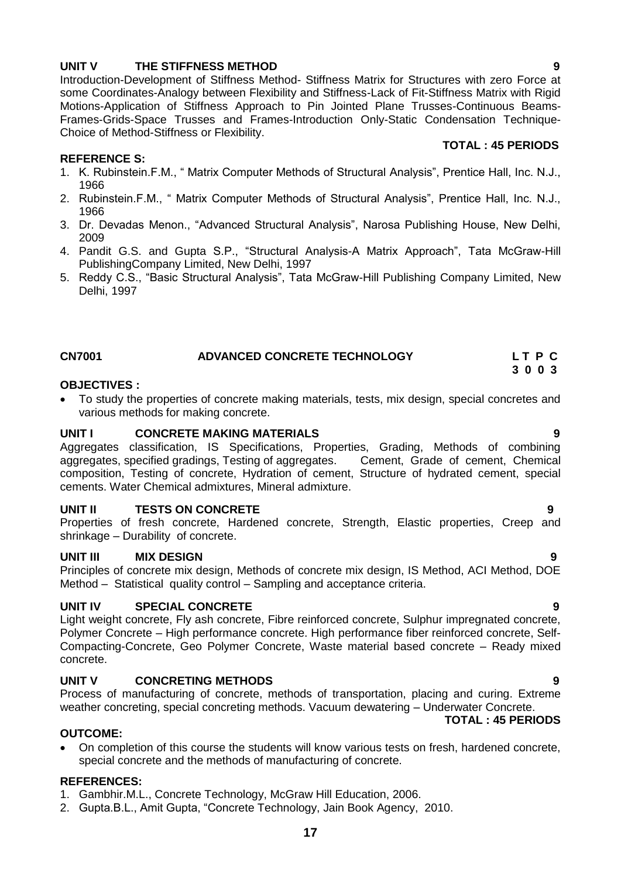# **UNIT V THE STIFFNESS METHOD 9**

Introduction-Development of Stiffness Method- Stiffness Matrix for Structures with zero Force at some Coordinates-Analogy between Flexibility and Stiffness-Lack of Fit-Stiffness Matrix with Rigid Motions-Application of Stiffness Approach to Pin Jointed Plane Trusses-Continuous Beams-Frames-Grids-Space Trusses and Frames-Introduction Only-Static Condensation Technique-Choice of Method-Stiffness or Flexibility.

# **REFERENCE S:**

- 1. K. Rubinstein.F.M., " Matrix Computer Methods of Structural Analysis", Prentice Hall, Inc. N.J., 1966
- 2. Rubinstein.F.M., " Matrix Computer Methods of Structural Analysis", Prentice Hall, Inc. N.J., 1966
- 3. Dr. Devadas Menon., "Advanced Structural Analysis", Narosa Publishing House, New Delhi, 2009
- 4. Pandit G.S. and Gupta S.P., "Structural Analysis-A Matrix Approach", Tata McGraw-Hill PublishingCompany Limited, New Delhi, 1997
- 5. Reddy C.S., "Basic Structural Analysis", Tata McGraw-Hill Publishing Company Limited, New Delhi, 1997

# <span id="page-16-0"></span>**CN7001 ADVANCED CONCRETE TECHNOLOGY L T P C**

# **OBJECTIVES :**

 To study the properties of concrete making materials, tests, mix design, special concretes and various methods for making concrete.

# **UNIT I CONCRETE MAKING MATERIALS 9**

Aggregates classification, IS Specifications, Properties, Grading, Methods of combining aggregates, specified gradings, Testing of aggregates. Cement, Grade of cement, Chemical composition, Testing of concrete, Hydration of cement, Structure of hydrated cement, special cements. Water Chemical admixtures, Mineral admixture.

# **UNIT II TESTS ON CONCRETE 9**

Properties of fresh concrete, Hardened concrete, Strength, Elastic properties, Creep and shrinkage – Durability of concrete.

# **UNIT III MIX DESIGN 9**

Principles of concrete mix design, Methods of concrete mix design, IS Method, ACI Method, DOE Method – Statistical quality control – Sampling and acceptance criteria.

# **UNIT IV SPECIAL CONCRETE 9**

Light weight concrete, Fly ash concrete, Fibre reinforced concrete, Sulphur impregnated concrete, Polymer Concrete – High performance concrete. High performance fiber reinforced concrete, Self-Compacting-Concrete, Geo Polymer Concrete, Waste material based concrete – Ready mixed concrete.

# **UNIT V CONCRETING METHODS 9**

Process of manufacturing of concrete, methods of transportation, placing and curing. Extreme weather concreting, special concreting methods. Vacuum dewatering – Underwater Concrete.

# **OUTCOME:**

 On completion of this course the students will know various tests on fresh, hardened concrete, special concrete and the methods of manufacturing of concrete.

### **REFERENCES:**

- 1. Gambhir.M.L., Concrete Technology, McGraw Hill Education, 2006.
- 2. Gupta.B.L., Amit Gupta, "Concrete Technology, Jain Book Agency, 2010.

# **TOTAL : 45 PERIODS**

 **3 0 0 3**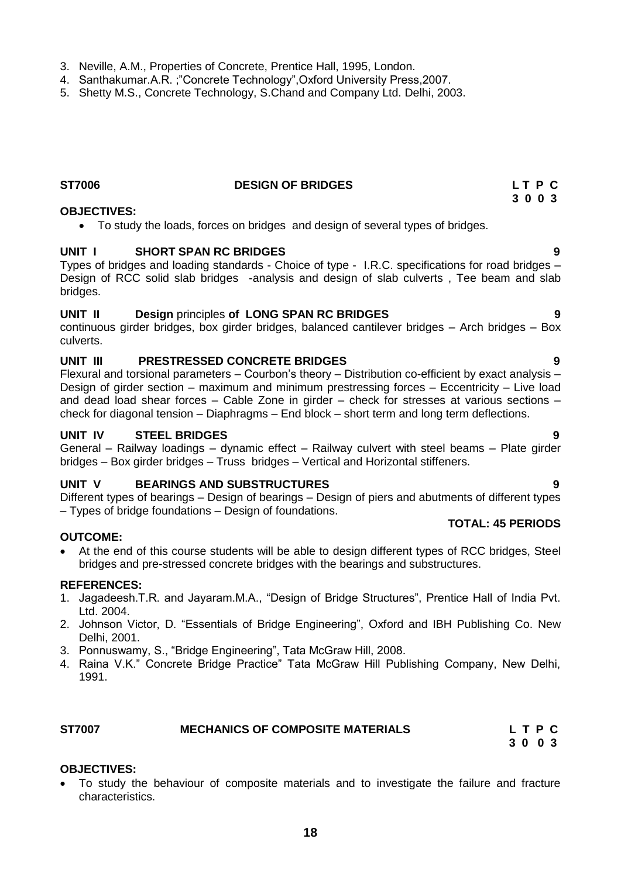- 3. Neville, A.M., Properties of Concrete, Prentice Hall, 1995, London.
- 4. Santhakumar.A.R. ;"Concrete Technology",Oxford University Press,2007.
- 5. Shetty M.S., Concrete Technology, S.Chand and Company Ltd. Delhi, 2003.

# **ST7006 DESIGN OF BRIDGES L T P C**

# **OBJECTIVES:**

To study the loads, forces on bridges and design of several types of bridges.

# **UNIT I SHORT SPAN RC BRIDGES 9**

Types of bridges and loading standards - Choice of type - I.R.C. specifications for road bridges – Design of RCC solid slab bridges -analysis and design of slab culverts , Tee beam and slab bridges.

# **UNIT II Design** principles **of LONG SPAN RC BRIDGES 9**

continuous girder bridges, box girder bridges, balanced cantilever bridges – Arch bridges – Box culverts.

# **UNIT III PRESTRESSED CONCRETE BRIDGES 9**

Flexural and torsional parameters – Courbon's theory – Distribution co-efficient by exact analysis – Design of girder section – maximum and minimum prestressing forces – Eccentricity – Live load and dead load shear forces – Cable Zone in girder – check for stresses at various sections – check for diagonal tension – Diaphragms – End block – short term and long term deflections.

# **UNIT IV STEEL BRIDGES 9**

General – Railway loadings – dynamic effect – Railway culvert with steel beams – Plate girder bridges – Box girder bridges – Truss bridges – Vertical and Horizontal stiffeners.

# **UNIT V BEARINGS AND SUBSTRUCTURES 9**

Different types of bearings – Design of bearings – Design of piers and abutments of different types – Types of bridge foundations – Design of foundations.

# **OUTCOME:**

 At the end of this course students will be able to design different types of RCC bridges, Steel bridges and pre-stressed concrete bridges with the bearings and substructures.

# **REFERENCES:**

- 1. Jagadeesh.T.R. and Jayaram.M.A., "Design of Bridge Structures", Prentice Hall of India Pvt. Ltd. 2004.
- 2. Johnson Victor, D. "Essentials of Bridge Engineering", Oxford and IBH Publishing Co. New Delhi, 2001.
- 3. Ponnuswamy, S., "Bridge Engineering", Tata McGraw Hill, 2008.
- 4. Raina V.K." Concrete Bridge Practice" Tata McGraw Hill Publishing Company, New Delhi, 1991.

| <b>ST7007</b> | <b>MECHANICS OF COMPOSITE MATERIALS</b> | LTPC |
|---------------|-----------------------------------------|------|
|               |                                         |      |

# **OBJECTIVES:**

 To study the behaviour of composite materials and to investigate the failure and fracture characteristics.

**TOTAL: 45 PERIODS**

 **3 0 0 3**

# **3 0 0 3**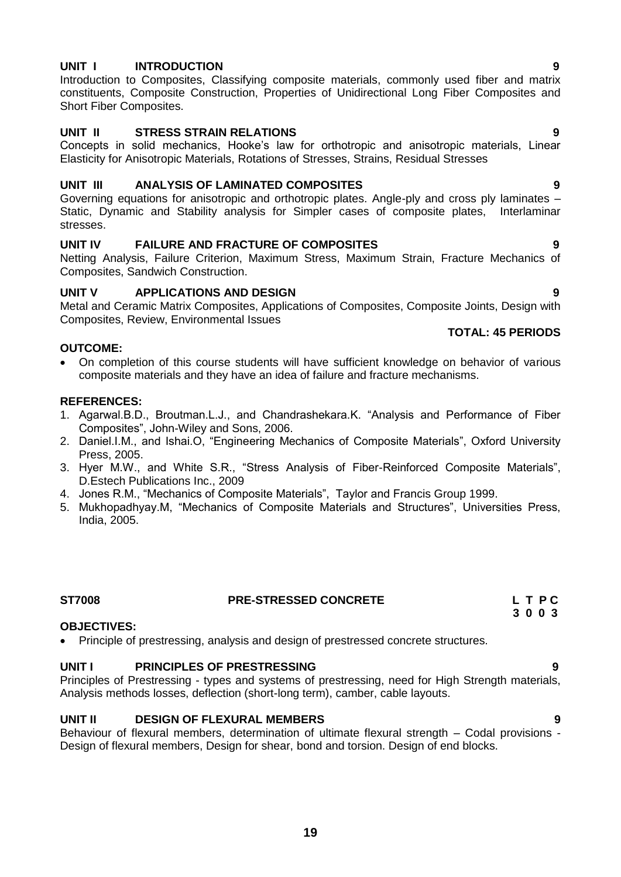# **UNIT I INTRODUCTION 9**

Introduction to Composites, Classifying composite materials, commonly used fiber and matrix constituents, Composite Construction, Properties of Unidirectional Long Fiber Composites and Short Fiber Composites.

# **UNIT II STRESS STRAIN RELATIONS 9**

Concepts in solid mechanics, Hooke's law for orthotropic and anisotropic materials, Linear Elasticity for Anisotropic Materials, Rotations of Stresses, Strains, Residual Stresses

# **UNIT III ANALYSIS OF LAMINATED COMPOSITES 9**

Governing equations for anisotropic and orthotropic plates. Angle-ply and cross ply laminates – Static, Dynamic and Stability analysis for Simpler cases of composite plates, Interlaminar stresses.

# **UNIT IV FAILURE AND FRACTURE OF COMPOSITES 9**

Netting Analysis, Failure Criterion, Maximum Stress, Maximum Strain, Fracture Mechanics of Composites, Sandwich Construction.

# **UNIT V APPLICATIONS AND DESIGN 9**

Metal and Ceramic Matrix Composites, Applications of Composites, Composite Joints, Design with Composites, Review, Environmental Issues

# **OUTCOME:**

 On completion of this course students will have sufficient knowledge on behavior of various composite materials and they have an idea of failure and fracture mechanisms.

# **REFERENCES:**

- 1. Agarwal.B.D., Broutman.L.J., and Chandrashekara.K. "Analysis and Performance of Fiber Composites", John-Wiley and Sons, 2006.
- 2. Daniel.I.M., and Ishai.O, "Engineering Mechanics of Composite Materials", Oxford University Press, 2005.
- 3. Hyer M.W., and White S.R., "Stress Analysis of Fiber-Reinforced Composite Materials", D.Estech Publications Inc., 2009
- 4. Jones R.M., "Mechanics of Composite Materials", Taylor and Francis Group 1999.
- 5. Mukhopadhyay.M, "Mechanics of Composite Materials and Structures", Universities Press, India, 2005.

# ST7008 **PRE-STRESSED CONCRETE** L T P C<br>3 0 0 3

# **OBJECTIVES:**

Principle of prestressing, analysis and design of prestressed concrete structures.

# **UNIT I PRINCIPLES OF PRESTRESSING 9**

Principles of Prestressing - types and systems of prestressing, need for High Strength materials, Analysis methods losses, deflection (short-long term), camber, cable layouts.

# **UNIT II DESIGN OF FLEXURAL MEMBERS 9**

Behaviour of flexural members, determination of ultimate flexural strength – Codal provisions - Design of flexural members, Design for shear, bond and torsion. Design of end blocks.

 **3 0 0 3**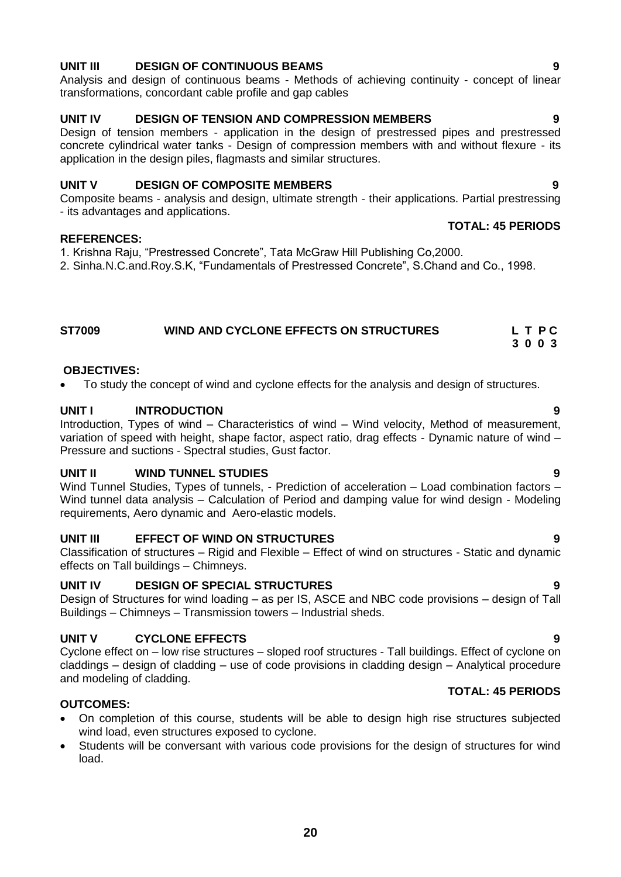# **UNIT III DESIGN OF CONTINUOUS BEAMS 9**

Analysis and design of continuous beams - Methods of achieving continuity - concept of linear transformations, concordant cable profile and gap cables

# **UNIT IV DESIGN OF TENSION AND COMPRESSION MEMBERS 9**

Design of tension members - application in the design of prestressed pipes and prestressed concrete cylindrical water tanks - Design of compression members with and without flexure - its application in the design piles, flagmasts and similar structures.

# **UNIT V DESIGN OF COMPOSITE MEMBERS 9**

Composite beams - analysis and design, ultimate strength - their applications. Partial prestressing - its advantages and applications.

# **REFERENCES:**

1. Krishna Raju, "Prestressed Concrete", Tata McGraw Hill Publishing Co,2000.

2. Sinha.N.C.and.Roy.S.K, "Fundamentals of Prestressed Concrete", S.Chand and Co., 1998.

# **ST7009 WIND AND CYCLONE EFFECTS ON STRUCTURES L T P C 3 0 0 3**

# **OBJECTIVES:**

To study the concept of wind and cyclone effects for the analysis and design of structures.

# **UNIT I INTRODUCTION 9**

Introduction, Types of wind – Characteristics of wind – Wind velocity, Method of measurement, variation of speed with height, shape factor, aspect ratio, drag effects - Dynamic nature of wind – Pressure and suctions - Spectral studies, Gust factor.

# **UNIT II WIND TUNNEL STUDIES 9**

Wind Tunnel Studies, Types of tunnels, - Prediction of acceleration – Load combination factors – Wind tunnel data analysis – Calculation of Period and damping value for wind design - Modeling requirements, Aero dynamic and Aero-elastic models.

# **UNIT III EFFECT OF WIND ON STRUCTURES 9**

Classification of structures – Rigid and Flexible – Effect of wind on structures - Static and dynamic effects on Tall buildings – Chimneys.

# **UNIT IV DESIGN OF SPECIAL STRUCTURES 9**

Design of Structures for wind loading – as per IS, ASCE and NBC code provisions – design of Tall Buildings – Chimneys – Transmission towers – Industrial sheds.

# **UNIT V CYCLONE EFFECTS 9**

Cyclone effect on – low rise structures – sloped roof structures - Tall buildings. Effect of cyclone on claddings – design of cladding – use of code provisions in cladding design – Analytical procedure and modeling of cladding. **TOTAL: 45 PERIODS**

# **OUTCOMES:**

- On completion of this course, students will be able to design high rise structures subjected wind load, even structures exposed to cyclone.
- Students will be conversant with various code provisions for the design of structures for wind load.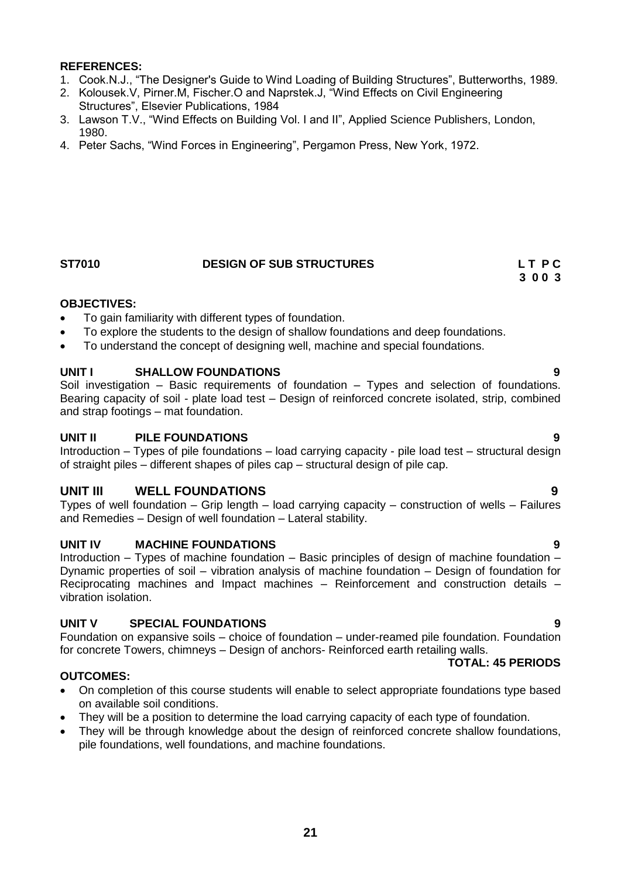- 1. Cook.N.J., "The Designer's Guide to Wind Loading of Building Structures", Butterworths, 1989.
- 2. Kolousek.V, Pirner.M, Fischer.O and Naprstek.J, "Wind Effects on Civil Engineering Structures", Elsevier Publications, 1984
- 3. Lawson T.V., "Wind Effects on Building Vol. I and II", Applied Science Publishers, London, 1980.
- 4. Peter Sachs, "Wind Forces in Engineering", Pergamon Press, New York, 1972.

# **ST7010 DESIGN OF SUB STRUCTURES LET PC 3 0 0 3**

# **OBJECTIVES:**

- To gain familiarity with different types of foundation.
- To explore the students to the design of shallow foundations and deep foundations.
- To understand the concept of designing well, machine and special foundations.

# **UNIT I SHALLOW FOUNDATIONS 9**

Soil investigation – Basic requirements of foundation – Types and selection of foundations. Bearing capacity of soil - plate load test – Design of reinforced concrete isolated, strip, combined and strap footings – mat foundation.

# **UNIT II PILE FOUNDATIONS 9**

Introduction – Types of pile foundations – load carrying capacity - pile load test – structural design of straight piles – different shapes of piles cap – structural design of pile cap.

# **UNIT III WELL FOUNDATIONS 9**

Types of well foundation – Grip length – load carrying capacity – construction of wells – Failures and Remedies – Design of well foundation – Lateral stability.

# **UNIT IV MACHINE FOUNDATIONS 9**

Introduction – Types of machine foundation – Basic principles of design of machine foundation – Dynamic properties of soil – vibration analysis of machine foundation – Design of foundation for Reciprocating machines and Impact machines – Reinforcement and construction details – vibration isolation.

# **UNIT V SPECIAL FOUNDATIONS 9**

Foundation on expansive soils – choice of foundation – under-reamed pile foundation. Foundation for concrete Towers, chimneys – Design of anchors- Reinforced earth retailing walls.

### **TOTAL: 45 PERIODS**

# **OUTCOMES:**

- On completion of this course students will enable to select appropriate foundations type based on available soil conditions.
- They will be a position to determine the load carrying capacity of each type of foundation.
- They will be through knowledge about the design of reinforced concrete shallow foundations, pile foundations, well foundations, and machine foundations.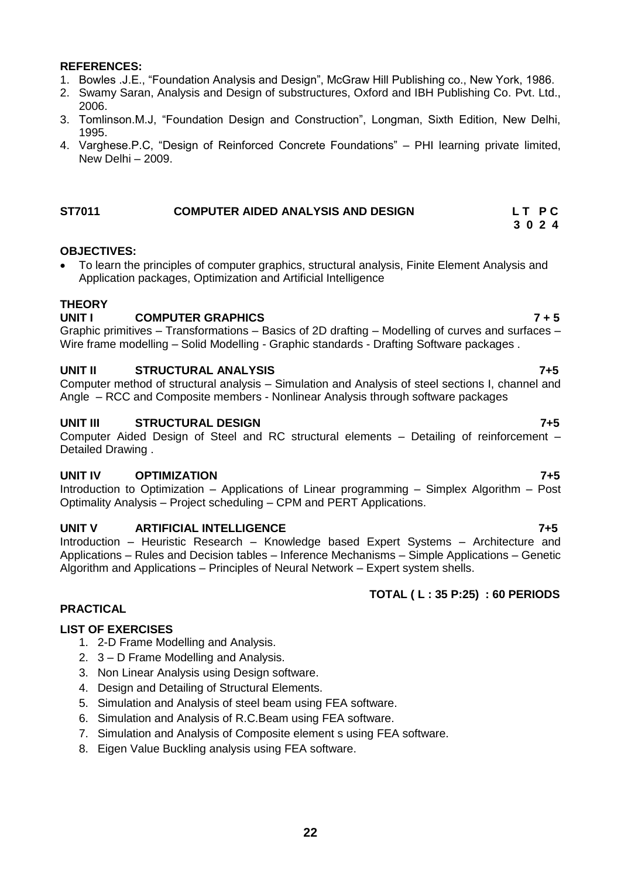- 1. Bowles .J.E., "Foundation Analysis and Design", McGraw Hill Publishing co., New York, 1986.
- 2. Swamy Saran, Analysis and Design of substructures, Oxford and IBH Publishing Co. Pvt. Ltd., 2006.
- 3. Tomlinson.M.J, "Foundation Design and Construction", Longman, Sixth Edition, New Delhi, 1995.
- 4. Varghese.P.C, "Design of Reinforced Concrete Foundations" PHI learning private limited, New Delhi – 2009.

# **ST7011 COMPUTER AIDED ANALYSIS AND DESIGN L T P C**

# **OBJECTIVES:**

 To learn the principles of computer graphics, structural analysis, Finite Element Analysis and Application packages, Optimization and Artificial Intelligence

# **THEORY**

# **UNIT I COMPUTER GRAPHICS 7 + 5**

Graphic primitives – Transformations – Basics of 2D drafting – Modelling of curves and surfaces – Wire frame modelling – Solid Modelling - Graphic standards - Drafting Software packages .

# **UNIT II STRUCTURAL ANALYSIS 7+5**

Computer method of structural analysis – Simulation and Analysis of steel sections I, channel and Angle – RCC and Composite members - Nonlinear Analysis through software packages

# **UNIT III STRUCTURAL DESIGN 7+5**

Computer Aided Design of Steel and RC structural elements – Detailing of reinforcement – Detailed Drawing .

# **UNIT IV OPTIMIZATION 7+5**

Introduction to Optimization – Applications of Linear programming – Simplex Algorithm – Post Optimality Analysis – Project scheduling – CPM and PERT Applications.

### **UNIT V ARTIFICIAL INTELLIGENCE 7+5**

Introduction – Heuristic Research – Knowledge based Expert Systems – Architecture and Applications – Rules and Decision tables – Inference Mechanisms – Simple Applications – Genetic Algorithm and Applications – Principles of Neural Network – Expert system shells.

# **TOTAL ( L : 35 P:25) : 60 PERIODS**

# **PRACTICAL**

### **LIST OF EXERCISES**

- 1. 2-D Frame Modelling and Analysis.
- 2. 3 D Frame Modelling and Analysis.
- 3. Non Linear Analysis using Design software.
- 4. Design and Detailing of Structural Elements.
- 5. Simulation and Analysis of steel beam using FEA software.
- 6. Simulation and Analysis of R.C.Beam using FEA software.
- 7. Simulation and Analysis of Composite element s using FEA software.
- 8. Eigen Value Buckling analysis using FEA software.

 **3 0 2 4**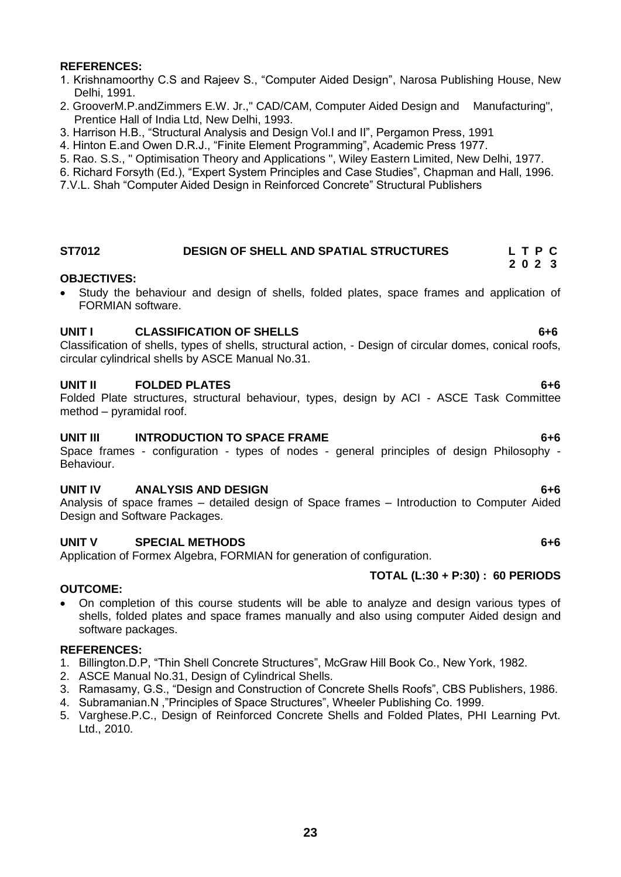- 1. Krishnamoorthy C.S and Rajeev S., "Computer Aided Design", Narosa Publishing House, New Delhi, 1991.
- 2. GrooverM.P.andZimmers E.W. Jr.," CAD/CAM, Computer Aided Design and Manufacturing", Prentice Hall of India Ltd, New Delhi, 1993.
- 3. Harrison H.B., "Structural Analysis and Design Vol.I and II", Pergamon Press, 1991
- 4. Hinton E.and Owen D.R.J., "Finite Element Programming", Academic Press 1977.
- 5. Rao. S.S., " Optimisation Theory and Applications ", Wiley Eastern Limited, New Delhi, 1977.
- 6. Richard Forsyth (Ed.), "Expert System Principles and Case Studies", Chapman and Hall, 1996.
- 7.V.L. Shah "Computer Aided Design in Reinforced Concrete" Structural Publishers

#### **ST7012 DESIGN OF SHELL AND SPATIAL STRUCTURES L T P C 2 0 2 3**

### **OBJECTIVES:**

 Study the behaviour and design of shells, folded plates, space frames and application of FORMIAN software.

# **UNIT I CLASSIFICATION OF SHELLS 6+6**

Classification of shells, types of shells, structural action, - Design of circular domes, conical roofs, circular cylindrical shells by ASCE Manual No.31.

# **UNIT II FOLDED PLATES 6+6**

Folded Plate structures, structural behaviour, types, design by ACI - ASCE Task Committee method – pyramidal roof.

# **UNIT III** INTRODUCTION TO SPACE FRAME 6+6

Space frames - configuration - types of nodes - general principles of design Philosophy - Behaviour.

### **UNIT IV ANALYSIS AND DESIGN 6+6**

Analysis of space frames – detailed design of Space frames – Introduction to Computer Aided Design and Software Packages.

### **UNIT V SPECIAL METHODS 6+6**

Application of Formex Algebra, FORMIAN for generation of configuration.

### **TOTAL (L:30 + P:30) : 60 PERIODS**

### **OUTCOME:**

 On completion of this course students will be able to analyze and design various types of shells, folded plates and space frames manually and also using computer Aided design and software packages.

### **REFERENCES:**

- 1. Billington.D.P, "Thin Shell Concrete Structures", McGraw Hill Book Co., New York, 1982.
- 2. ASCE Manual No.31, Design of Cylindrical Shells.
- 3. Ramasamy, G.S., "Design and Construction of Concrete Shells Roofs", CBS Publishers, 1986.
- 4. Subramanian.N ,"Principles of Space Structures", Wheeler Publishing Co. 1999.
- 5. Varghese.P.C., Design of Reinforced Concrete Shells and Folded Plates, PHI Learning Pvt. Ltd., 2010.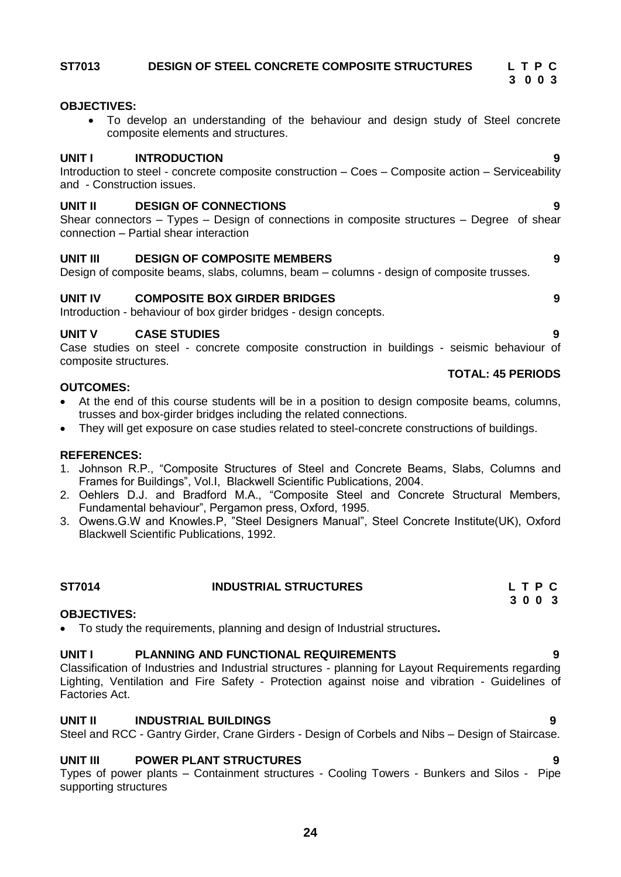# **ST7013****DESIGN OF STEEL CONCRETE COMPOSITE STRUCTURES L T P C**

# **OBJECTIVES:**

 To develop an understanding of the behaviour and design study of Steel concrete composite elements and structures.

### **UNIT I INTRODUCTION 9**

Introduction to steel - concrete composite construction – Coes – Composite action – Serviceability and - Construction issues.

### **UNIT II DESIGN OF CONNECTIONS 9**

Shear connectors – Types – Design of connections in composite structures – Degree of shear connection – Partial shear interaction

# **UNIT III DESIGN OF COMPOSITE MEMBERS 9**

Design of composite beams, slabs, columns, beam – columns - design of composite trusses.

# **UNIT IV COMPOSITE BOX GIRDER BRIDGES 9**

Introduction - behaviour of box girder bridges - design concepts.

# **UNIT V CASE STUDIES 9**

Case studies on steel - concrete composite construction in buildings - seismic behaviour of composite structures.

# **OUTCOMES:**

- At the end of this course students will be in a position to design composite beams, columns, trusses and box-girder bridges including the related connections.
- They will get exposure on case studies related to steel-concrete constructions of buildings.

### **REFERENCES:**

- 1. Johnson R.P., "Composite Structures of Steel and Concrete Beams, Slabs, Columns and Frames for Buildings", Vol.I, Blackwell Scientific Publications, 2004.
- 2. Oehlers D.J. and Bradford M.A., "Composite Steel and Concrete Structural Members, Fundamental behaviour", Pergamon press, Oxford, 1995.
- 3. Owens.G.W and Knowles.P, "Steel Designers Manual", Steel Concrete Institute(UK), Oxford Blackwell Scientific Publications, 1992.

# **OBJECTIVES:**

To study the requirements, planning and design of Industrial structures**.**

# **UNIT I PLANNING AND FUNCTIONAL REQUIREMENTS 9**

Classification of Industries and Industrial structures - planning for Layout Requirements regarding Lighting, Ventilation and Fire Safety - Protection against noise and vibration - Guidelines of Factories Act.

# **UNIT II INDUSTRIAL BUILDINGS 9**

# Steel and RCC - Gantry Girder, Crane Girders - Design of Corbels and Nibs – Design of Staircase.

# **UNIT III POWER PLANT STRUCTURES 9**

Types of power plants – Containment structures - Cooling Towers - Bunkers and Silos - Pipe supporting structures

**TOTAL: 45 PERIODS**

 **3 0 0 3**

# **ST7014** INDUSTRIAL STRUCTURES L T P C<br>3 0 0 3 **3 0 0 3**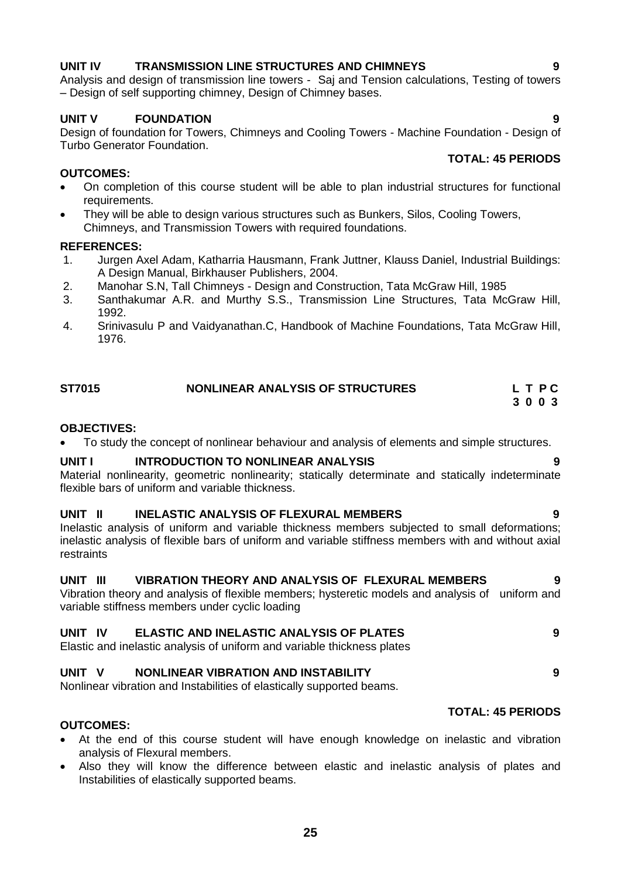# **UNIT IV TRANSMISSION LINE STRUCTURES AND CHIMNEYS 9**

Analysis and design of transmission line towers - Saj and Tension calculations, Testing of towers – Design of self supporting chimney, Design of Chimney bases.

# **UNIT V FOUNDATION 9**

Design of foundation for Towers, Chimneys and Cooling Towers - Machine Foundation - Design of Turbo Generator Foundation.

# **OUTCOMES:**

- On completion of this course student will be able to plan industrial structures for functional requirements.
- They will be able to design various structures such as Bunkers, Silos, Cooling Towers, Chimneys, and Transmission Towers with required foundations.

# **REFERENCES:**

- 1. Jurgen Axel Adam, Katharria Hausmann, Frank Juttner, Klauss Daniel, Industrial Buildings: A Design Manual, Birkhauser Publishers, 2004.
- 2. Manohar S.N, Tall Chimneys Design and Construction, Tata McGraw Hill, 1985
- 3. Santhakumar A.R. and Murthy S.S., Transmission Line Structures, Tata McGraw Hill, 1992.
- 4. Srinivasulu P and Vaidyanathan.C, Handbook of Machine Foundations, Tata McGraw Hill, 1976.

| <b>ST7015</b> | NONLINEAR ANALYSIS OF STRUCTURES | LTPC |
|---------------|----------------------------------|------|
|               |                                  | 3003 |

# **OBJECTIVES:**

To study the concept of nonlinear behaviour and analysis of elements and simple structures.

# **UNIT I INTRODUCTION TO NONLINEAR ANALYSIS 9**

Material nonlinearity, geometric nonlinearity; statically determinate and statically indeterminate flexible bars of uniform and variable thickness.

# **UNIT II INELASTIC ANALYSIS OF FLEXURAL MEMBERS 9**

Inelastic analysis of uniform and variable thickness members subjected to small deformations; inelastic analysis of flexible bars of uniform and variable stiffness members with and without axial restraints

# **UNIT III VIBRATION THEORY AND ANALYSIS OF FLEXURAL MEMBERS 9**

Vibration theory and analysis of flexible members; hysteretic models and analysis of uniform and variable stiffness members under cyclic loading

# **UNIT IV ELASTIC AND INELASTIC ANALYSIS OF PLATES 9**

Elastic and inelastic analysis of uniform and variable thickness plates

### **UNIT V NONLINEAR VIBRATION AND INSTABILITY 9**

Nonlinear vibration and Instabilities of elastically supported beams.

# **OUTCOMES:**

- At the end of this course student will have enough knowledge on inelastic and vibration analysis of Flexural members.
- Also they will know the difference between elastic and inelastic analysis of plates and Instabilities of elastically supported beams.

# **TOTAL: 45 PERIODS**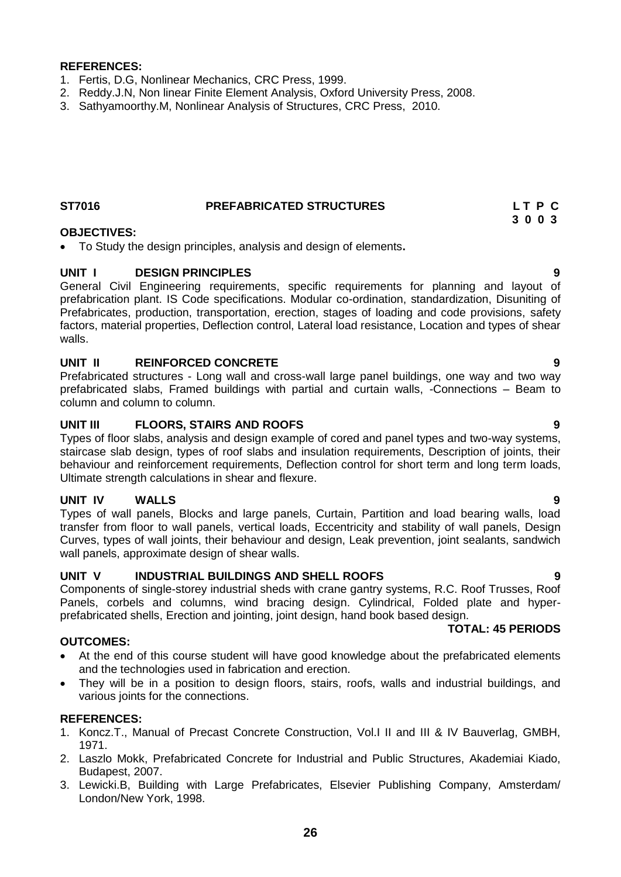- 1. Fertis, D.G, Nonlinear Mechanics, CRC Press, 1999.
- 2. Reddy.J.N, Non linear Finite Element Analysis, Oxford University Press, 2008.
- 3. Sathyamoorthy.M, Nonlinear Analysis of Structures, CRC Press, 2010.

# **ST7016 PREFABRICATED STRUCTURES L T P C**

# **OBJECTIVES:**

To Study the design principles, analysis and design of elements**.**

# **UNIT I DESIGN PRINCIPLES 9**

General Civil Engineering requirements, specific requirements for planning and layout of prefabrication plant. IS Code specifications. Modular co-ordination, standardization, Disuniting of Prefabricates, production, transportation, erection, stages of loading and code provisions, safety factors, material properties, Deflection control, Lateral load resistance, Location and types of shear walls.

# **UNIT II REINFORCED CONCRETE 9**

Prefabricated structures - Long wall and cross-wall large panel buildings, one way and two way prefabricated slabs, Framed buildings with partial and curtain walls, -Connections – Beam to column and column to column.

# **UNIT III FLOORS, STAIRS AND ROOFS 9**

Types of floor slabs, analysis and design example of cored and panel types and two-way systems, staircase slab design, types of roof slabs and insulation requirements, Description of joints, their behaviour and reinforcement requirements, Deflection control for short term and long term loads, Ultimate strength calculations in shear and flexure.

### **UNIT IV WALLS 9**

Types of wall panels, Blocks and large panels, Curtain, Partition and load bearing walls, load transfer from floor to wall panels, vertical loads, Eccentricity and stability of wall panels, Design Curves, types of wall joints, their behaviour and design, Leak prevention, joint sealants, sandwich wall panels, approximate design of shear walls.

### **UNIT V INDUSTRIAL BUILDINGS AND SHELL ROOFS 9**

Components of single-storey industrial sheds with crane gantry systems, R.C. Roof Trusses, Roof Panels, corbels and columns, wind bracing design. Cylindrical, Folded plate and hyperprefabricated shells, Erection and jointing, joint design, hand book based design.

# **OUTCOMES:**

- At the end of this course student will have good knowledge about the prefabricated elements and the technologies used in fabrication and erection.
- They will be in a position to design floors, stairs, roofs, walls and industrial buildings, and various joints for the connections.

### **REFERENCES:**

- 1. Koncz.T., Manual of Precast Concrete Construction, Vol.I II and III & IV Bauverlag, GMBH, 1971.
- 2. Laszlo Mokk, Prefabricated Concrete for Industrial and Public Structures, Akademiai Kiado, Budapest, 2007.
- 3. Lewicki.B, Building with Large Prefabricates, Elsevier Publishing Company, Amsterdam/ London/New York, 1998.

 **3 0 0 3**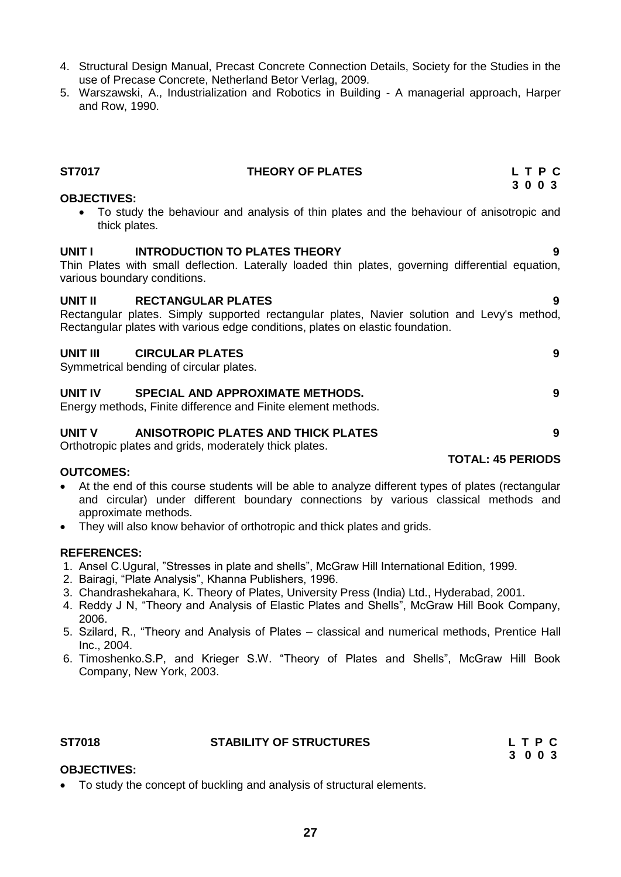- 4. Structural Design Manual, Precast Concrete Connection Details, Society for the Studies in the use of Precase Concrete, Netherland Betor Verlag, 2009.
- 5. Warszawski, A., Industrialization and Robotics in Building A managerial approach, Harper and Row, 1990.

# **ST7017 THEORY OF PLATES L T P C**

### **OBJECTIVES:**

 To study the behaviour and analysis of thin plates and the behaviour of anisotropic and thick plates.

# **UNIT I INTRODUCTION TO PLATES THEORY 9**

Thin Plates with small deflection. Laterally loaded thin plates, governing differential equation, various boundary conditions.

#### **UNIT II RECTANGULAR PLATES 9**

Rectangular plates. Simply supported rectangular plates, Navier solution and Levy's method, Rectangular plates with various edge conditions, plates on elastic foundation.

#### **UNIT III CIRCULAR PLATES 9**

Symmetrical bending of circular plates.

### **UNIT IV SPECIAL AND APPROXIMATE METHODS. 9**

Energy methods, Finite difference and Finite element methods.

# **UNIT V ANISOTROPIC PLATES AND THICK PLATES 9**

Orthotropic plates and grids, moderately thick plates.

### **OUTCOMES:**

- At the end of this course students will be able to analyze different types of plates (rectangular and circular) under different boundary connections by various classical methods and approximate methods.
- They will also know behavior of orthotropic and thick plates and grids.

#### **REFERENCES:**

- 1. Ansel C.Ugural, "Stresses in plate and shells", McGraw Hill International Edition, 1999.
- 2. Bairagi, "Plate Analysis", Khanna Publishers, 1996.
- 3. Chandrashekahara, K. Theory of Plates, University Press (India) Ltd., Hyderabad, 2001.
- 4. Reddy J N, "Theory and Analysis of Elastic Plates and Shells", McGraw Hill Book Company, 2006.
- 5. Szilard, R., "Theory and Analysis of Plates classical and numerical methods, Prentice Hall Inc., 2004.
- 6. Timoshenko.S.P, and Krieger S.W. "Theory of Plates and Shells", McGraw Hill Book Company, New York, 2003.

#### **ST7018 STABILITY OF STRUCTURES L T P C**

 **3 0 0 3**

# **OBJECTIVES:**

To study the concept of buckling and analysis of structural elements.

 **3 0 0 3**

- 
-